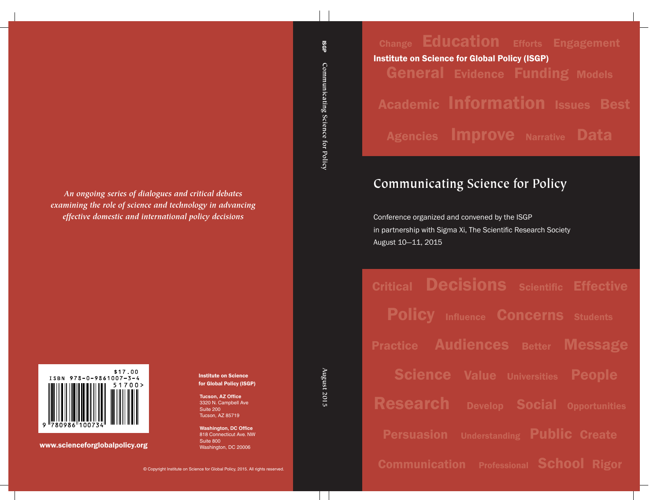Change Education Efforts Engagement General Evidence Funding Models Academic Information Issues Best Agencies Improve Narrative Data Institute on Science for Global Policy (ISGP)

# **Communicating Science for Policy**

Conference organized and convened by the ISGP in partnership with Sigma Xi, The Scientific Research Society August 10—11, 2015

Critical **Decisions** Scientific Effective Policy Influence Concerns Students Practice Audiences Better Message **Science Value Universities People** Research Develop Social Opportunities Persuasion Understanding Public Create Communication Professional School Rigor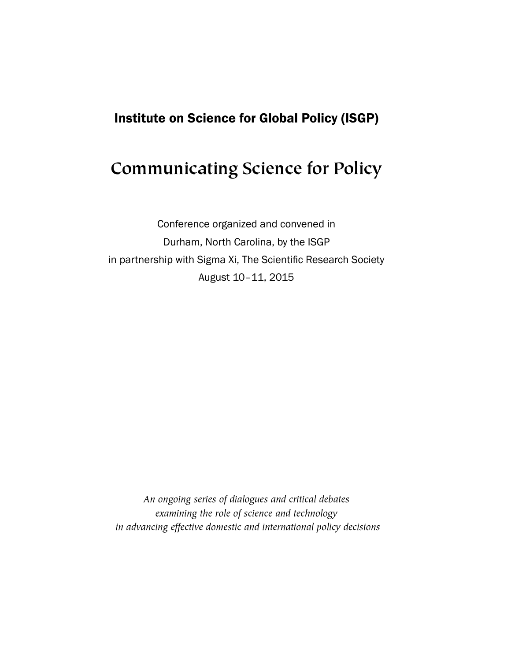# Institute on Science for Global Policy (ISGP)

# **Communicating Science for Policy**

Conference organized and convened in Durham, North Carolina, by the ISGP in partnership with Sigma Xi, The Scientific Research Society August 10–11, 2015

*An ongoing series of dialogues and critical debates examining the role of science and technology in advancing effective domestic and international policy decisions*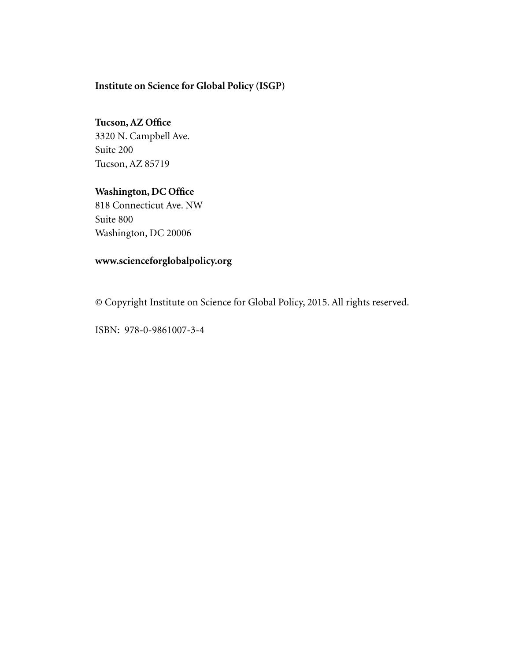# **Institute on Science for Global Policy (ISGP)**

# **Tucson, AZ Office** 3320 N. Campbell Ave. Suite 200 Tucson, AZ 85719

# **Washington, DC Office**

818 Connecticut Ave. NW Suite 800 Washington, DC 20006

# **www.scienceforglobalpolicy.org**

© Copyright Institute on Science for Global Policy, 2015. All rights reserved.

ISBN: 978-0-9861007-3-4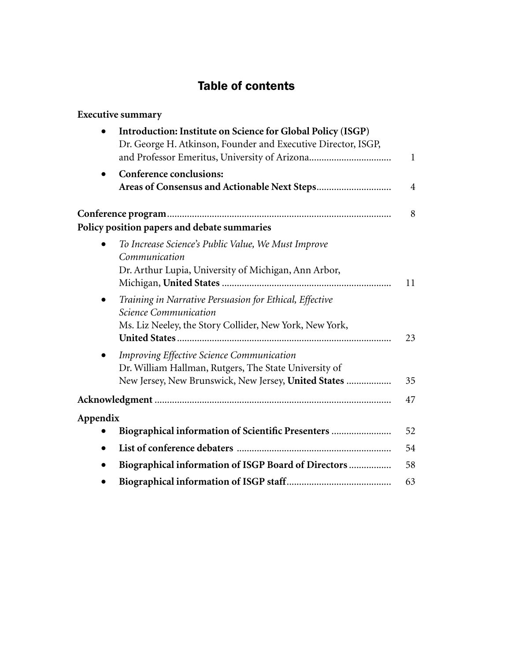# Table of contents

| <b>Executive summary</b>                                                                                                                                                       |                |
|--------------------------------------------------------------------------------------------------------------------------------------------------------------------------------|----------------|
| Introduction: Institute on Science for Global Policy (ISGP)<br>Dr. George H. Atkinson, Founder and Executive Director, ISGP,<br>and Professor Emeritus, University of Arizona  | $\mathbf{1}$   |
| <b>Conference conclusions:</b>                                                                                                                                                 | $\overline{4}$ |
| Policy position papers and debate summaries                                                                                                                                    | 8              |
| To Increase Science's Public Value, We Must Improve<br>Communication<br>Dr. Arthur Lupia, University of Michigan, Ann Arbor,                                                   | 11             |
| Training in Narrative Persuasion for Ethical, Effective<br>$\bullet$<br><b>Science Communication</b><br>Ms. Liz Neeley, the Story Collider, New York, New York,                | 23             |
| <b>Improving Effective Science Communication</b><br>$\bullet$<br>Dr. William Hallman, Rutgers, The State University of<br>New Jersey, New Brunswick, New Jersey, United States | 35             |
|                                                                                                                                                                                | 47             |
| Appendix<br>Biographical information of Scientific Presenters                                                                                                                  | 52             |
| $\bullet$                                                                                                                                                                      | 54             |
| Biographical information of ISGP Board of Directors<br>$\bullet$                                                                                                               | 58             |
|                                                                                                                                                                                | 63             |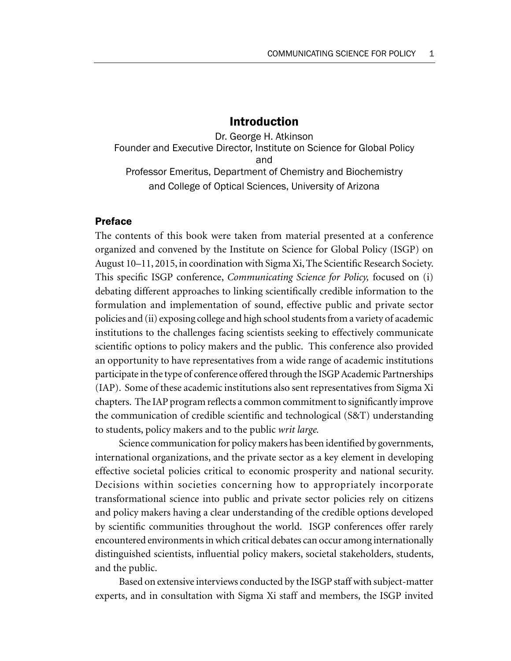# Introduction

Dr. George H. Atkinson Founder and Executive Director, Institute on Science for Global Policy and Professor Emeritus, Department of Chemistry and Biochemistry and College of Optical Sciences, University of Arizona

### Preface

The contents of this book were taken from material presented at a conference organized and convened by the Institute on Science for Global Policy (ISGP) on August 10–11, 2015, in coordination with Sigma Xi, The Scientific Research Society. This specific ISGP conference, *Communicating Science for Policy,* focused on (i) debating different approaches to linking scientifically credible information to the formulation and implementation of sound, effective public and private sector policies and (ii) exposing college and high school students from a variety of academic institutions to the challenges facing scientists seeking to effectively communicate scientific options to policy makers and the public. This conference also provided an opportunity to have representatives from a wide range of academic institutions participate in the type of conference offered through the ISGP Academic Partnerships (IAP). Some of these academic institutions also sent representatives from Sigma Xi chapters. The IAP program reflects a common commitment to significantly improve the communication of credible scientific and technological (S&T) understanding to students, policy makers and to the public *writ large.*

Science communication for policy makers has been identified by governments, international organizations, and the private sector as a key element in developing effective societal policies critical to economic prosperity and national security. Decisions within societies concerning how to appropriately incorporate transformational science into public and private sector policies rely on citizens and policy makers having a clear understanding of the credible options developed by scientific communities throughout the world. ISGP conferences offer rarely encountered environments in which critical debates can occur among internationally distinguished scientists, influential policy makers, societal stakeholders, students, and the public.

Based on extensive interviews conducted by the ISGP staff with subject-matter experts, and in consultation with Sigma Xi staff and members, the ISGP invited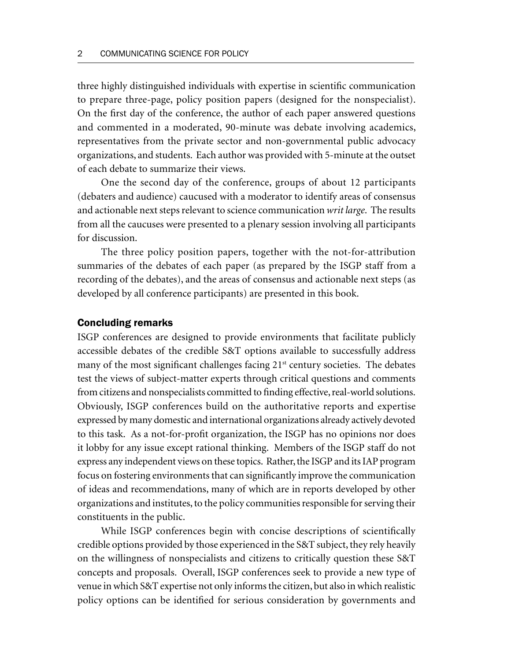three highly distinguished individuals with expertise in scientific communication to prepare three-page, policy position papers (designed for the nonspecialist). On the first day of the conference, the author of each paper answered questions and commented in a moderated, 90-minute was debate involving academics, representatives from the private sector and non-governmental public advocacy organizations, and students. Each author was provided with 5-minute at the outset of each debate to summarize their views.

One the second day of the conference, groups of about 12 participants (debaters and audience) caucused with a moderator to identify areas of consensus and actionable next steps relevant to science communication *writ large*. The results from all the caucuses were presented to a plenary session involving all participants for discussion.

The three policy position papers, together with the not-for-attribution summaries of the debates of each paper (as prepared by the ISGP staff from a recording of the debates), and the areas of consensus and actionable next steps (as developed by all conference participants) are presented in this book.

#### Concluding remarks

ISGP conferences are designed to provide environments that facilitate publicly accessible debates of the credible S&T options available to successfully address many of the most significant challenges facing  $21<sup>st</sup>$  century societies. The debates test the views of subject-matter experts through critical questions and comments from citizens and nonspecialists committed to finding effective, real-world solutions. Obviously, ISGP conferences build on the authoritative reports and expertise expressed by many domestic and international organizations already actively devoted to this task. As a not-for-profit organization, the ISGP has no opinions nor does it lobby for any issue except rational thinking. Members of the ISGP staff do not express any independent views on these topics. Rather, the ISGP and its IAP program focus on fostering environments that can significantly improve the communication of ideas and recommendations, many of which are in reports developed by other organizations and institutes, to the policy communities responsible for serving their constituents in the public.

While ISGP conferences begin with concise descriptions of scientifically credible options provided by those experienced in the S&T subject, they rely heavily on the willingness of nonspecialists and citizens to critically question these S&T concepts and proposals. Overall, ISGP conferences seek to provide a new type of venue in which S&T expertise not only informs the citizen, but also in which realistic policy options can be identified for serious consideration by governments and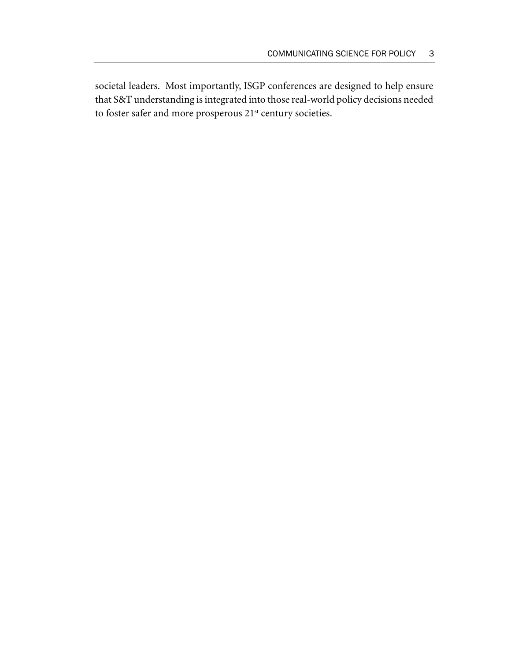societal leaders. Most importantly, ISGP conferences are designed to help ensure that S&T understanding is integrated into those real-world policy decisions needed to foster safer and more prosperous 21<sup>st</sup> century societies.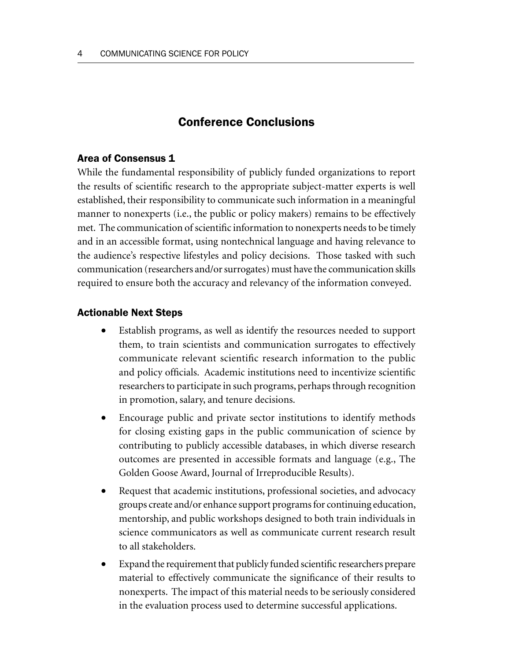# Conference Conclusions

### Area of Consensus 1

While the fundamental responsibility of publicly funded organizations to report the results of scientific research to the appropriate subject-matter experts is well established, their responsibility to communicate such information in a meaningful manner to nonexperts (i.e., the public or policy makers) remains to be effectively met. The communication of scientific information to nonexperts needs to be timely and in an accessible format, using nontechnical language and having relevance to the audience's respective lifestyles and policy decisions. Those tasked with such communication (researchers and/or surrogates) must have the communication skills required to ensure both the accuracy and relevancy of the information conveyed.

#### Actionable Next Steps

- Establish programs, as well as identify the resources needed to support them, to train scientists and communication surrogates to effectively communicate relevant scientific research information to the public and policy officials. Academic institutions need to incentivize scientific researchers to participate in such programs, perhaps through recognition in promotion, salary, and tenure decisions.
- Encourage public and private sector institutions to identify methods for closing existing gaps in the public communication of science by contributing to publicly accessible databases, in which diverse research outcomes are presented in accessible formats and language (e.g., The Golden Goose Award, Journal of Irreproducible Results).
- Request that academic institutions, professional societies, and advocacy groups create and/or enhance support programs for continuing education, mentorship, and public workshops designed to both train individuals in science communicators as well as communicate current research result to all stakeholders.
- Expand the requirement that publicly funded scientific researchers prepare material to effectively communicate the significance of their results to nonexperts. The impact of this material needs to be seriously considered in the evaluation process used to determine successful applications.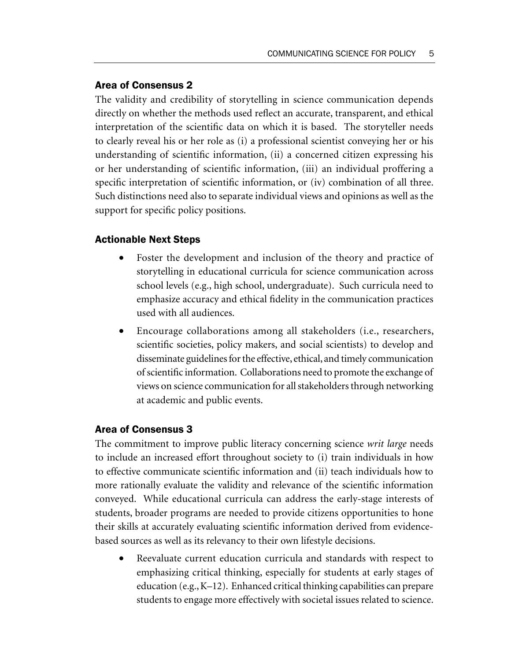## Area of Consensus 2

The validity and credibility of storytelling in science communication depends directly on whether the methods used reflect an accurate, transparent, and ethical interpretation of the scientific data on which it is based. The storyteller needs to clearly reveal his or her role as (i) a professional scientist conveying her or his understanding of scientific information, (ii) a concerned citizen expressing his or her understanding of scientific information, (iii) an individual proffering a specific interpretation of scientific information, or (iv) combination of all three. Such distinctions need also to separate individual views and opinions as well as the support for specific policy positions.

## Actionable Next Steps

- Foster the development and inclusion of the theory and practice of storytelling in educational curricula for science communication across school levels (e.g., high school, undergraduate). Such curricula need to emphasize accuracy and ethical fidelity in the communication practices used with all audiences.
- Encourage collaborations among all stakeholders (i.e., researchers, scientific societies, policy makers, and social scientists) to develop and disseminate guidelines for the effective, ethical, and timely communication of scientific information. Collaborations need to promote the exchange of views on science communication for all stakeholders through networking at academic and public events.

## Area of Consensus 3

The commitment to improve public literacy concerning science *writ large* needs to include an increased effort throughout society to (i) train individuals in how to effective communicate scientific information and (ii) teach individuals how to more rationally evaluate the validity and relevance of the scientific information conveyed. While educational curricula can address the early-stage interests of students, broader programs are needed to provide citizens opportunities to hone their skills at accurately evaluating scientific information derived from evidencebased sources as well as its relevancy to their own lifestyle decisions.

Reevaluate current education curricula and standards with respect to emphasizing critical thinking, especially for students at early stages of education (e.g., K–12). Enhanced critical thinking capabilities can prepare students to engage more effectively with societal issues related to science.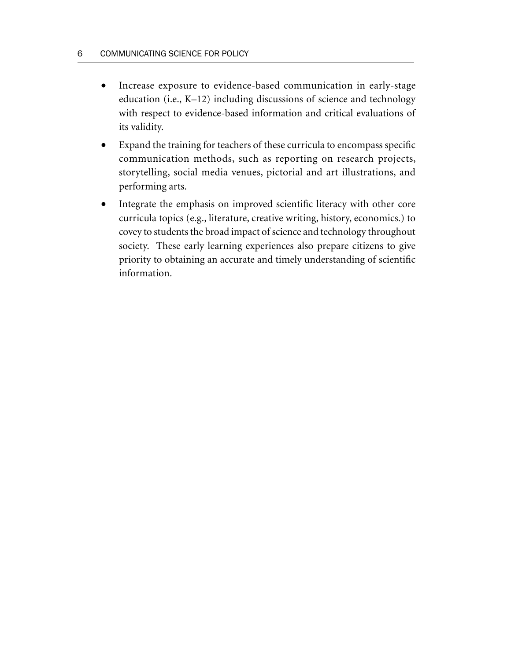- Increase exposure to evidence-based communication in early-stage education (i.e., K–12) including discussions of science and technology with respect to evidence-based information and critical evaluations of its validity.
- Expand the training for teachers of these curricula to encompass specific communication methods, such as reporting on research projects, storytelling, social media venues, pictorial and art illustrations, and performing arts.
- Integrate the emphasis on improved scientific literacy with other core curricula topics (e.g., literature, creative writing, history, economics.) to covey to students the broad impact of science and technology throughout society. These early learning experiences also prepare citizens to give priority to obtaining an accurate and timely understanding of scientific information.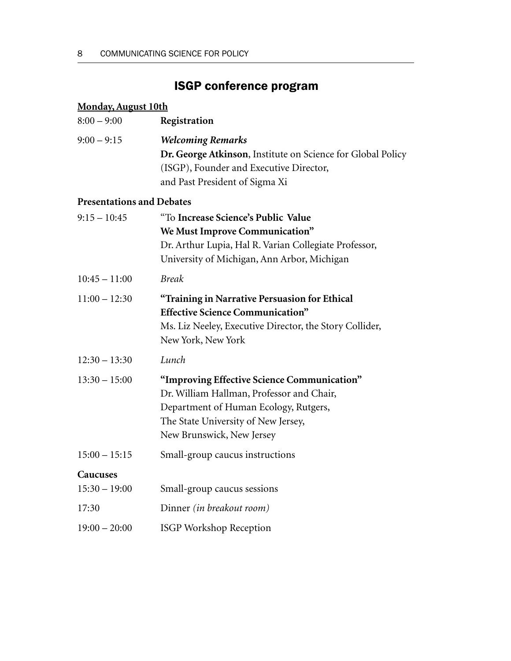# ISGP conference program

| <b>Monday, August 10th</b>       |                                                                                                                                                                                                       |
|----------------------------------|-------------------------------------------------------------------------------------------------------------------------------------------------------------------------------------------------------|
| $8:00 - 9:00$                    | Registration                                                                                                                                                                                          |
| $9:00 - 9:15$                    | <b>Welcoming Remarks</b><br>Dr. George Atkinson, Institute on Science for Global Policy<br>(ISGP), Founder and Executive Director,<br>and Past President of Sigma Xi                                  |
| <b>Presentations and Debates</b> |                                                                                                                                                                                                       |
| $9:15 - 10:45$                   | "To Increase Science's Public Value<br>We Must Improve Communication"<br>Dr. Arthur Lupia, Hal R. Varian Collegiate Professor,<br>University of Michigan, Ann Arbor, Michigan                         |
| $10:45 - 11:00$                  | <b>Break</b>                                                                                                                                                                                          |
| $11:00 - 12:30$                  | "Training in Narrative Persuasion for Ethical<br><b>Effective Science Communication"</b><br>Ms. Liz Neeley, Executive Director, the Story Collider,<br>New York, New York                             |
| $12:30 - 13:30$                  | Lunch                                                                                                                                                                                                 |
| $13:30 - 15:00$                  | "Improving Effective Science Communication"<br>Dr. William Hallman, Professor and Chair,<br>Department of Human Ecology, Rutgers,<br>The State University of New Jersey,<br>New Brunswick, New Jersey |
| $15:00 - 15:15$                  | Small-group caucus instructions                                                                                                                                                                       |
| Caucuses<br>$15:30 - 19:00$      | Small-group caucus sessions                                                                                                                                                                           |
| 17:30                            | Dinner <i>(in breakout room)</i>                                                                                                                                                                      |
| $19:00 - 20:00$                  | <b>ISGP Workshop Reception</b>                                                                                                                                                                        |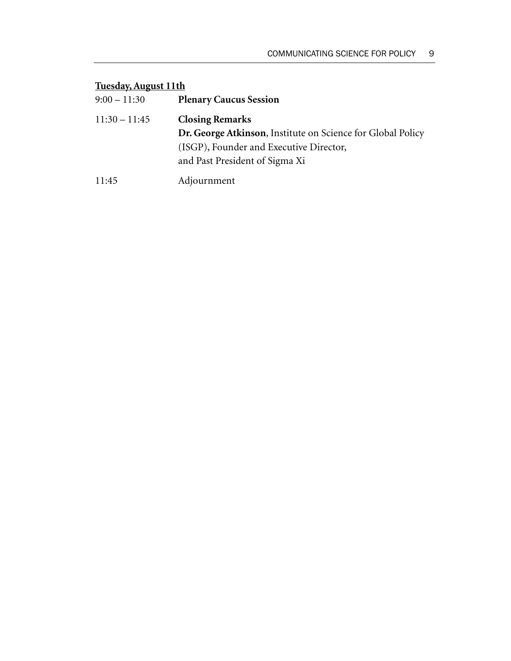# **Tuesday, August 11th**

| $9:00 - 11:30$  | <b>Plenary Caucus Session</b>                                      |
|-----------------|--------------------------------------------------------------------|
| $11:30 - 11:45$ | <b>Closing Remarks</b>                                             |
|                 | <b>Dr. George Atkinson, Institute on Science for Global Policy</b> |
|                 | (ISGP), Founder and Executive Director,                            |
|                 | and Past President of Sigma Xi                                     |
| 11:45           | Adjournment                                                        |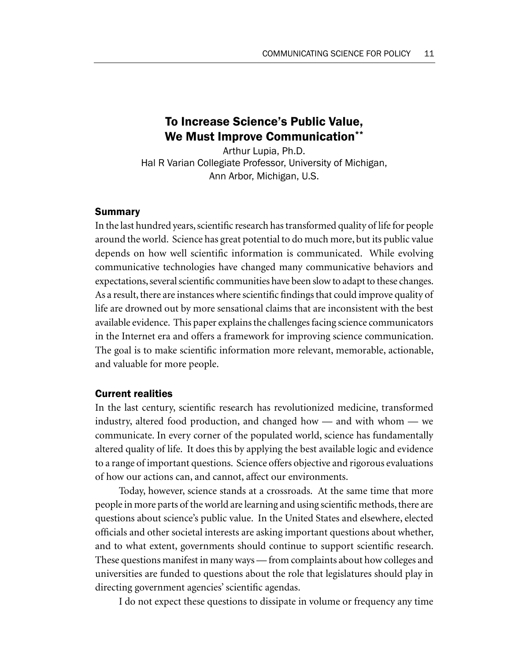# To Increase Science's Public Value, We Must Improve Communication\*\*

Arthur Lupia, Ph.D. Hal R Varian Collegiate Professor, University of Michigan, Ann Arbor, Michigan, U.S.

#### **Summary**

In the last hundred years, scientific research has transformed quality of life for people around the world. Science has great potential to do much more, but its public value depends on how well scientific information is communicated. While evolving communicative technologies have changed many communicative behaviors and expectations, several scientific communities have been slow to adapt to these changes. As a result, there are instances where scientific findings that could improve quality of life are drowned out by more sensational claims that are inconsistent with the best available evidence. This paper explains the challenges facing science communicators in the Internet era and offers a framework for improving science communication. The goal is to make scientific information more relevant, memorable, actionable, and valuable for more people.

#### Current realities

In the last century, scientific research has revolutionized medicine, transformed industry, altered food production, and changed how — and with whom — we communicate. In every corner of the populated world, science has fundamentally altered quality of life. It does this by applying the best available logic and evidence to a range of important questions. Science offers objective and rigorous evaluations of how our actions can, and cannot, affect our environments.

Today, however, science stands at a crossroads. At the same time that more people in more parts of the world are learning and using scientific methods, there are questions about science's public value. In the United States and elsewhere, elected officials and other societal interests are asking important questions about whether, and to what extent, governments should continue to support scientific research. These questions manifest in many ways — from complaints about how colleges and universities are funded to questions about the role that legislatures should play in directing government agencies' scientific agendas.

I do not expect these questions to dissipate in volume or frequency any time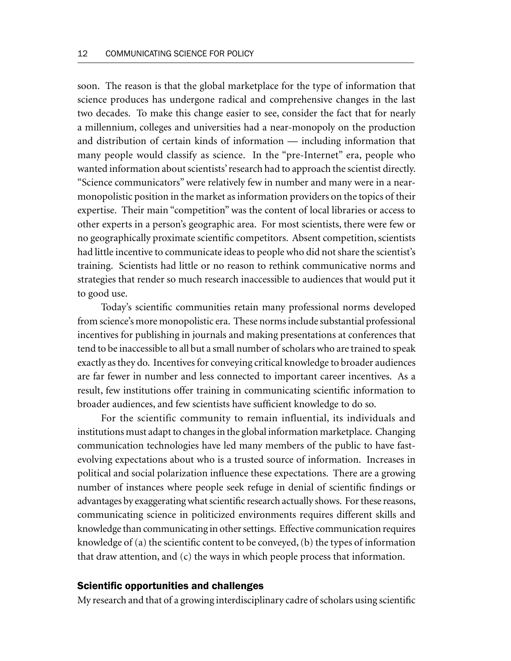soon. The reason is that the global marketplace for the type of information that science produces has undergone radical and comprehensive changes in the last two decades. To make this change easier to see, consider the fact that for nearly a millennium, colleges and universities had a near-monopoly on the production and distribution of certain kinds of information — including information that many people would classify as science. In the "pre-Internet" era, people who wanted information about scientists' research had to approach the scientist directly. "Science communicators" were relatively few in number and many were in a nearmonopolistic position in the market as information providers on the topics of their expertise. Their main "competition" was the content of local libraries or access to other experts in a person's geographic area. For most scientists, there were few or no geographically proximate scientific competitors. Absent competition, scientists had little incentive to communicate ideas to people who did not share the scientist's training. Scientists had little or no reason to rethink communicative norms and strategies that render so much research inaccessible to audiences that would put it to good use.

Today's scientific communities retain many professional norms developed from science's more monopolistic era. These norms include substantial professional incentives for publishing in journals and making presentations at conferences that tend to be inaccessible to all but a small number of scholars who are trained to speak exactly as they do. Incentives for conveying critical knowledge to broader audiences are far fewer in number and less connected to important career incentives. As a result, few institutions offer training in communicating scientific information to broader audiences, and few scientists have sufficient knowledge to do so.

For the scientific community to remain influential, its individuals and institutions must adapt to changes in the global information marketplace. Changing communication technologies have led many members of the public to have fastevolving expectations about who is a trusted source of information. Increases in political and social polarization influence these expectations. There are a growing number of instances where people seek refuge in denial of scientific findings or advantages by exaggerating what scientific research actually shows. For these reasons, communicating science in politicized environments requires different skills and knowledge than communicating in other settings. Effective communication requires knowledge of (a) the scientific content to be conveyed, (b) the types of information that draw attention, and (c) the ways in which people process that information.

#### Scientific opportunities and challenges

My research and that of a growing interdisciplinary cadre of scholars using scientific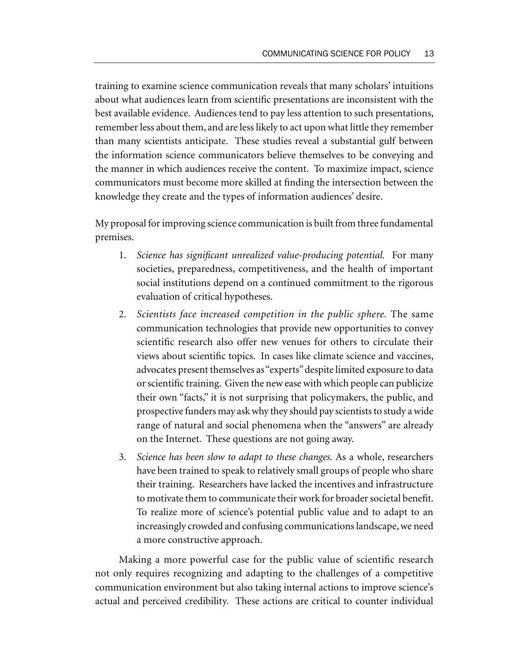training to examine science communication reveals that many scholars' intuitions about what audiences learn from scientific presentations are inconsistent with the best available evidence. Audiences tend to pay less attention to such presentations, remember less about them, and are less likely to act upon what little they remember than many scientists anticipate. These studies reveal a substantial gulf between the information science communicators believe themselves to be conveying and the manner in which audiences receive the content. To maximize impact, science communicators must become more skilled at finding the intersection between the knowledge they create and the types of information audiences' desire.

My proposal for improving science communication is built from three fundamental premises.

- 1. *Science has significant unrealized value-producing potential.* For many societies, preparedness, competitiveness, and the health of important social institutions depend on a continued commitment to the rigorous evaluation of critical hypotheses.
- 2. *Scientists face increased competition in the public sphere.* The same communication technologies that provide new opportunities to convey scientific research also offer new venues for others to circulate their views about scientific topics. In cases like climate science and vaccines, advocates present themselves as "experts" despite limited exposure to data or scientific training. Given the new ease with which people can publicize their own "facts," it is not surprising that policymakers, the public, and prospective funders may ask why they should pay scientists to study a wide range of natural and social phenomena when the "answers" are already on the Internet. These questions are not going away.
- 3. *Science has been slow to adapt to these changes.* As a whole, researchers have been trained to speak to relatively small groups of people who share their training. Researchers have lacked the incentives and infrastructure to motivate them to communicate their work for broader societal benefit. To realize more of science's potential public value and to adapt to an increasingly crowded and confusing communications landscape, we need a more constructive approach.

Making a more powerful case for the public value of scientific research not only requires recognizing and adapting to the challenges of a competitive communication environment but also taking internal actions to improve science's actual and perceived credibility. These actions are critical to counter individual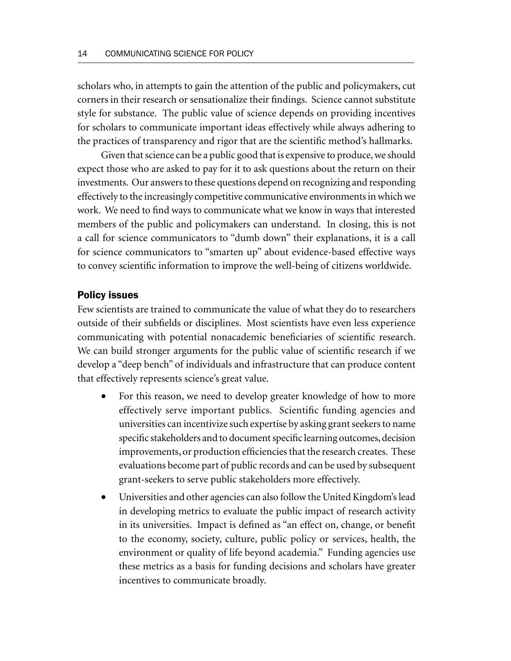scholars who, in attempts to gain the attention of the public and policymakers, cut corners in their research or sensationalize their findings. Science cannot substitute style for substance. The public value of science depends on providing incentives for scholars to communicate important ideas effectively while always adhering to the practices of transparency and rigor that are the scientific method's hallmarks.

Given that science can be a public good that is expensive to produce, we should expect those who are asked to pay for it to ask questions about the return on their investments. Our answers to these questions depend on recognizing and responding effectively to the increasingly competitive communicative environments in which we work. We need to find ways to communicate what we know in ways that interested members of the public and policymakers can understand. In closing, this is not a call for science communicators to "dumb down" their explanations, it is a call for science communicators to "smarten up" about evidence-based effective ways to convey scientific information to improve the well-being of citizens worldwide.

#### Policy issues

Few scientists are trained to communicate the value of what they do to researchers outside of their subfields or disciplines. Most scientists have even less experience communicating with potential nonacademic beneficiaries of scientific research. We can build stronger arguments for the public value of scientific research if we develop a "deep bench" of individuals and infrastructure that can produce content that effectively represents science's great value.

- For this reason, we need to develop greater knowledge of how to more effectively serve important publics. Scientific funding agencies and universities can incentivize such expertise by asking grant seekers to name specific stakeholders and to document specific learning outcomes, decision improvements, or production efficiencies that the research creates. These evaluations become part of public records and can be used by subsequent grant-seekers to serve public stakeholders more effectively.
- Universities and other agencies can also follow the United Kingdom's lead in developing metrics to evaluate the public impact of research activity in its universities. Impact is defined as "an effect on, change, or benefit to the economy, society, culture, public policy or services, health, the environment or quality of life beyond academia." Funding agencies use these metrics as a basis for funding decisions and scholars have greater incentives to communicate broadly.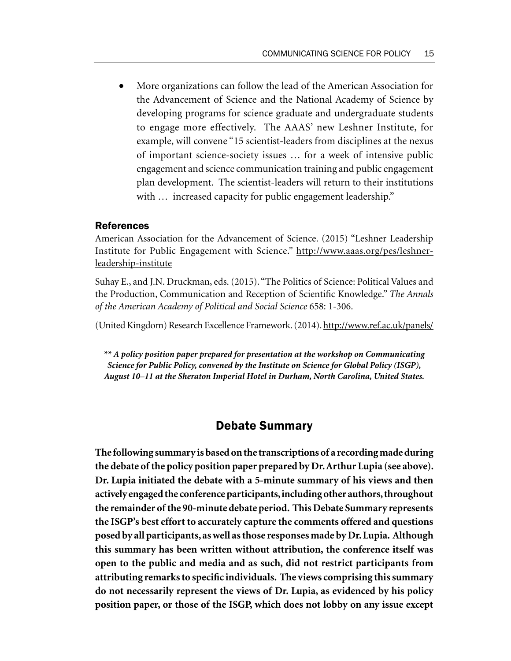• More organizations can follow the lead of the American Association for the Advancement of Science and the National Academy of Science by developing programs for science graduate and undergraduate students to engage more effectively. The AAAS' new Leshner Institute, for example, will convene "15 scientist-leaders from disciplines at the nexus of important science-society issues … for a week of intensive public engagement and science communication training and public engagement plan development. The scientist-leaders will return to their institutions with ... increased capacity for public engagement leadership."

#### References

American Association for the Advancement of Science. (2015) "Leshner Leadership Institute for Public Engagement with Science." http://www.aaas.org/pes/leshnerleadership-institute

Suhay E., and J.N. Druckman, eds. (2015). "The Politics of Science: Political Values and the Production, Communication and Reception of Scientific Knowledge." *The Annals of the American Academy of Political and Social Science* 658: 1-306.

(United Kingdom) Research Excellence Framework. (2014). http://www.ref.ac.uk/panels/

*\*\* A policy position paper prepared for presentation at the workshop on Communicating Science for Public Policy, convened by the Institute on Science for Global Policy (ISGP), August 10–11 at the Sheraton Imperial Hotel in Durham, North Carolina, United States.*

## Debate Summary

**The following summary is based on the transcriptions of a recording made during the debate of the policy position paper prepared by Dr. Arthur Lupia (see above). Dr. Lupia initiated the debate with a 5-minute summary of his views and then actively engaged the conference participants, including other authors, throughout the remainder of the 90-minute debate period. This Debate Summary represents the ISGP's best effort to accurately capture the comments offered and questions posed by all participants, as well as those responses made by Dr. Lupia. Although this summary has been written without attribution, the conference itself was open to the public and media and as such, did not restrict participants from attributing remarks to specific individuals. The views comprising this summary do not necessarily represent the views of Dr. Lupia, as evidenced by his policy position paper, or those of the ISGP, which does not lobby on any issue except**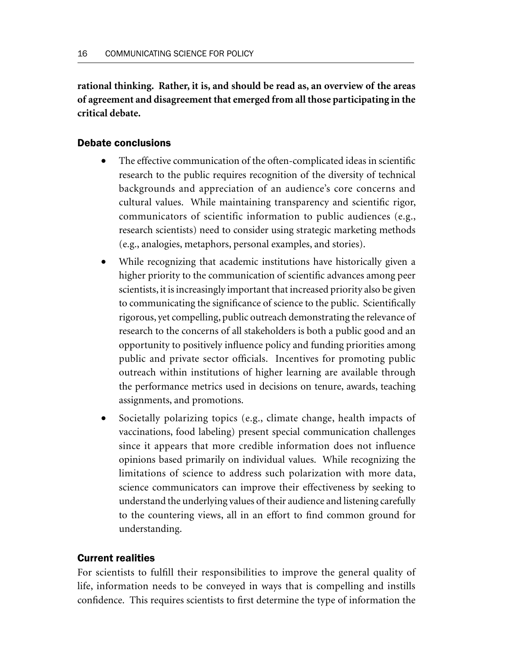**rational thinking. Rather, it is, and should be read as, an overview of the areas of agreement and disagreement that emerged from all those participating in the critical debate.**

### Debate conclusions

- The effective communication of the often-complicated ideas in scientific research to the public requires recognition of the diversity of technical backgrounds and appreciation of an audience's core concerns and cultural values. While maintaining transparency and scientific rigor, communicators of scientific information to public audiences (e.g., research scientists) need to consider using strategic marketing methods (e.g., analogies, metaphors, personal examples, and stories).
- While recognizing that academic institutions have historically given a higher priority to the communication of scientific advances among peer scientists, it is increasingly important that increased priority also be given to communicating the significance of science to the public. Scientifically rigorous, yet compelling, public outreach demonstrating the relevance of research to the concerns of all stakeholders is both a public good and an opportunity to positively influence policy and funding priorities among public and private sector officials. Incentives for promoting public outreach within institutions of higher learning are available through the performance metrics used in decisions on tenure, awards, teaching assignments, and promotions.
- Societally polarizing topics (e.g., climate change, health impacts of vaccinations, food labeling) present special communication challenges since it appears that more credible information does not influence opinions based primarily on individual values. While recognizing the limitations of science to address such polarization with more data, science communicators can improve their effectiveness by seeking to understand the underlying values of their audience and listening carefully to the countering views, all in an effort to find common ground for understanding.

## Current realities

For scientists to fulfill their responsibilities to improve the general quality of life, information needs to be conveyed in ways that is compelling and instills confidence. This requires scientists to first determine the type of information the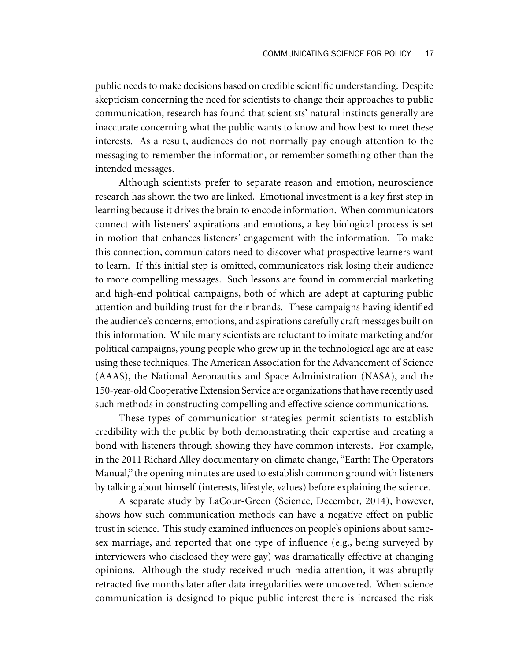public needs to make decisions based on credible scientific understanding. Despite skepticism concerning the need for scientists to change their approaches to public communication, research has found that scientists' natural instincts generally are inaccurate concerning what the public wants to know and how best to meet these interests. As a result, audiences do not normally pay enough attention to the messaging to remember the information, or remember something other than the intended messages.

Although scientists prefer to separate reason and emotion, neuroscience research has shown the two are linked. Emotional investment is a key first step in learning because it drives the brain to encode information. When communicators connect with listeners' aspirations and emotions, a key biological process is set in motion that enhances listeners' engagement with the information. To make this connection, communicators need to discover what prospective learners want to learn. If this initial step is omitted, communicators risk losing their audience to more compelling messages. Such lessons are found in commercial marketing and high-end political campaigns, both of which are adept at capturing public attention and building trust for their brands. These campaigns having identified the audience's concerns, emotions, and aspirations carefully craft messages built on this information. While many scientists are reluctant to imitate marketing and/or political campaigns, young people who grew up in the technological age are at ease using these techniques. The American Association for the Advancement of Science (AAAS), the National Aeronautics and Space Administration (NASA), and the 150-year-old Cooperative Extension Service are organizations that have recently used such methods in constructing compelling and effective science communications.

These types of communication strategies permit scientists to establish credibility with the public by both demonstrating their expertise and creating a bond with listeners through showing they have common interests. For example, in the 2011 Richard Alley documentary on climate change, "Earth: The Operators Manual," the opening minutes are used to establish common ground with listeners by talking about himself (interests, lifestyle, values) before explaining the science.

A separate study by LaCour-Green (Science, December, 2014), however, shows how such communication methods can have a negative effect on public trust in science. This study examined influences on people's opinions about samesex marriage, and reported that one type of influence (e.g., being surveyed by interviewers who disclosed they were gay) was dramatically effective at changing opinions. Although the study received much media attention, it was abruptly retracted five months later after data irregularities were uncovered. When science communication is designed to pique public interest there is increased the risk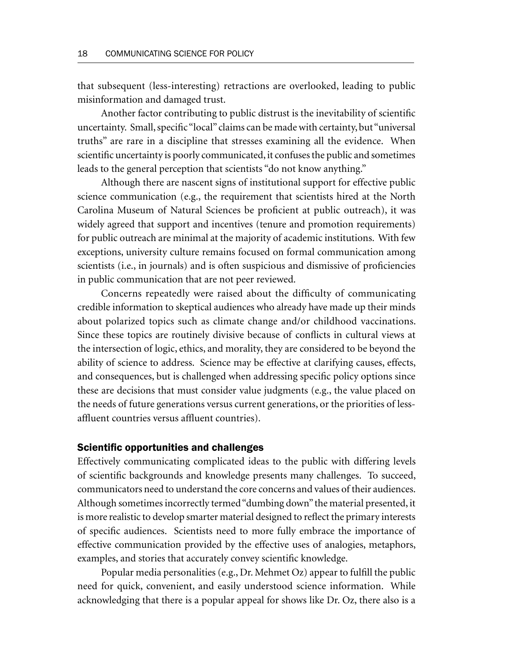that subsequent (less-interesting) retractions are overlooked, leading to public misinformation and damaged trust.

Another factor contributing to public distrust is the inevitability of scientific uncertainty. Small, specific "local" claims can be made with certainty, but "universal truths" are rare in a discipline that stresses examining all the evidence. When scientific uncertainty is poorly communicated, it confuses the public and sometimes leads to the general perception that scientists "do not know anything."

Although there are nascent signs of institutional support for effective public science communication (e.g., the requirement that scientists hired at the North Carolina Museum of Natural Sciences be proficient at public outreach), it was widely agreed that support and incentives (tenure and promotion requirements) for public outreach are minimal at the majority of academic institutions. With few exceptions, university culture remains focused on formal communication among scientists (i.e., in journals) and is often suspicious and dismissive of proficiencies in public communication that are not peer reviewed.

Concerns repeatedly were raised about the difficulty of communicating credible information to skeptical audiences who already have made up their minds about polarized topics such as climate change and/or childhood vaccinations. Since these topics are routinely divisive because of conflicts in cultural views at the intersection of logic, ethics, and morality, they are considered to be beyond the ability of science to address. Science may be effective at clarifying causes, effects, and consequences, but is challenged when addressing specific policy options since these are decisions that must consider value judgments (e.g., the value placed on the needs of future generations versus current generations, or the priorities of lessaffluent countries versus affluent countries).

#### Scientific opportunities and challenges

Effectively communicating complicated ideas to the public with differing levels of scientific backgrounds and knowledge presents many challenges. To succeed, communicators need to understand the core concerns and values of their audiences. Although sometimes incorrectly termed "dumbing down" the material presented, it is more realistic to develop smarter material designed to reflect the primary interests of specific audiences. Scientists need to more fully embrace the importance of effective communication provided by the effective uses of analogies, metaphors, examples, and stories that accurately convey scientific knowledge.

Popular media personalities (e.g., Dr. Mehmet Oz) appear to fulfill the public need for quick, convenient, and easily understood science information. While acknowledging that there is a popular appeal for shows like Dr. Oz, there also is a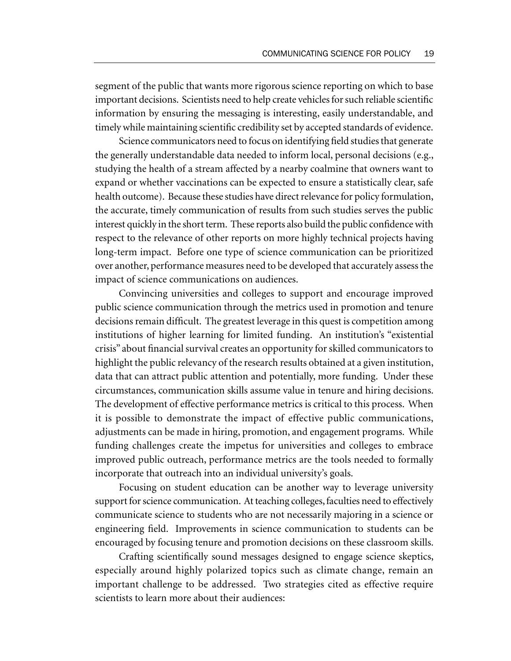segment of the public that wants more rigorous science reporting on which to base important decisions. Scientists need to help create vehicles for such reliable scientific information by ensuring the messaging is interesting, easily understandable, and timely while maintaining scientific credibility set by accepted standards of evidence.

Science communicators need to focus on identifying field studies that generate the generally understandable data needed to inform local, personal decisions (e.g., studying the health of a stream affected by a nearby coalmine that owners want to expand or whether vaccinations can be expected to ensure a statistically clear, safe health outcome). Because these studies have direct relevance for policy formulation, the accurate, timely communication of results from such studies serves the public interest quickly in the short term. These reports also build the public confidence with respect to the relevance of other reports on more highly technical projects having long-term impact. Before one type of science communication can be prioritized over another, performance measures need to be developed that accurately assess the impact of science communications on audiences.

Convincing universities and colleges to support and encourage improved public science communication through the metrics used in promotion and tenure decisions remain difficult. The greatest leverage in this quest is competition among institutions of higher learning for limited funding. An institution's "existential crisis" about financial survival creates an opportunity for skilled communicators to highlight the public relevancy of the research results obtained at a given institution, data that can attract public attention and potentially, more funding. Under these circumstances, communication skills assume value in tenure and hiring decisions. The development of effective performance metrics is critical to this process. When it is possible to demonstrate the impact of effective public communications, adjustments can be made in hiring, promotion, and engagement programs. While funding challenges create the impetus for universities and colleges to embrace improved public outreach, performance metrics are the tools needed to formally incorporate that outreach into an individual university's goals.

Focusing on student education can be another way to leverage university support for science communication. At teaching colleges, faculties need to effectively communicate science to students who are not necessarily majoring in a science or engineering field. Improvements in science communication to students can be encouraged by focusing tenure and promotion decisions on these classroom skills.

Crafting scientifically sound messages designed to engage science skeptics, especially around highly polarized topics such as climate change, remain an important challenge to be addressed. Two strategies cited as effective require scientists to learn more about their audiences: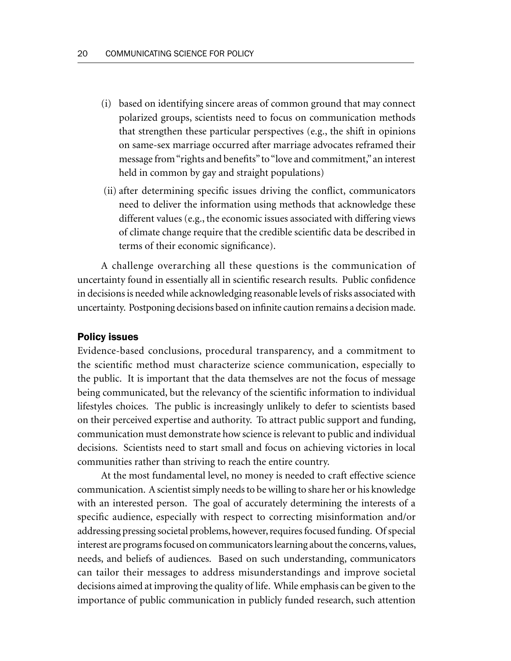- (i) based on identifying sincere areas of common ground that may connect polarized groups, scientists need to focus on communication methods that strengthen these particular perspectives (e.g., the shift in opinions on same-sex marriage occurred after marriage advocates reframed their message from "rights and benefits" to "love and commitment," an interest held in common by gay and straight populations)
- (ii) after determining specific issues driving the conflict, communicators need to deliver the information using methods that acknowledge these different values (e.g., the economic issues associated with differing views of climate change require that the credible scientific data be described in terms of their economic significance).

A challenge overarching all these questions is the communication of uncertainty found in essentially all in scientific research results. Public confidence in decisions is needed while acknowledging reasonable levels of risks associated with uncertainty. Postponing decisions based on infinite caution remains a decision made.

#### Policy issues

Evidence-based conclusions, procedural transparency, and a commitment to the scientific method must characterize science communication, especially to the public. It is important that the data themselves are not the focus of message being communicated, but the relevancy of the scientific information to individual lifestyles choices. The public is increasingly unlikely to defer to scientists based on their perceived expertise and authority. To attract public support and funding, communication must demonstrate how science is relevant to public and individual decisions. Scientists need to start small and focus on achieving victories in local communities rather than striving to reach the entire country.

At the most fundamental level, no money is needed to craft effective science communication. A scientist simply needs to be willing to share her or his knowledge with an interested person. The goal of accurately determining the interests of a specific audience, especially with respect to correcting misinformation and/or addressing pressing societal problems, however, requires focused funding. Of special interest are programs focused on communicators learning about the concerns, values, needs, and beliefs of audiences. Based on such understanding, communicators can tailor their messages to address misunderstandings and improve societal decisions aimed at improving the quality of life. While emphasis can be given to the importance of public communication in publicly funded research, such attention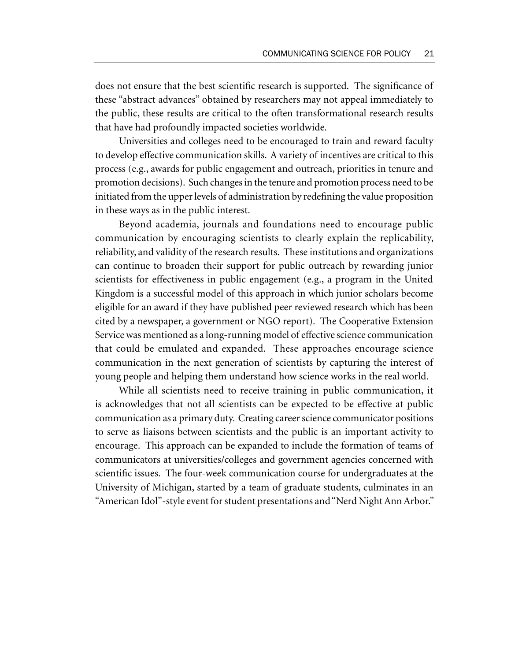does not ensure that the best scientific research is supported. The significance of these "abstract advances" obtained by researchers may not appeal immediately to the public, these results are critical to the often transformational research results that have had profoundly impacted societies worldwide.

Universities and colleges need to be encouraged to train and reward faculty to develop effective communication skills. A variety of incentives are critical to this process (e.g., awards for public engagement and outreach, priorities in tenure and promotion decisions). Such changes in the tenure and promotion process need to be initiated from the upper levels of administration by redefining the value proposition in these ways as in the public interest.

Beyond academia, journals and foundations need to encourage public communication by encouraging scientists to clearly explain the replicability, reliability, and validity of the research results. These institutions and organizations can continue to broaden their support for public outreach by rewarding junior scientists for effectiveness in public engagement (e.g., a program in the United Kingdom is a successful model of this approach in which junior scholars become eligible for an award if they have published peer reviewed research which has been cited by a newspaper, a government or NGO report). The Cooperative Extension Service was mentioned as a long-running model of effective science communication that could be emulated and expanded. These approaches encourage science communication in the next generation of scientists by capturing the interest of young people and helping them understand how science works in the real world.

While all scientists need to receive training in public communication, it is acknowledges that not all scientists can be expected to be effective at public communication as a primary duty. Creating career science communicator positions to serve as liaisons between scientists and the public is an important activity to encourage. This approach can be expanded to include the formation of teams of communicators at universities/colleges and government agencies concerned with scientific issues. The four-week communication course for undergraduates at the University of Michigan, started by a team of graduate students, culminates in an "American Idol"-style event for student presentations and "Nerd Night Ann Arbor."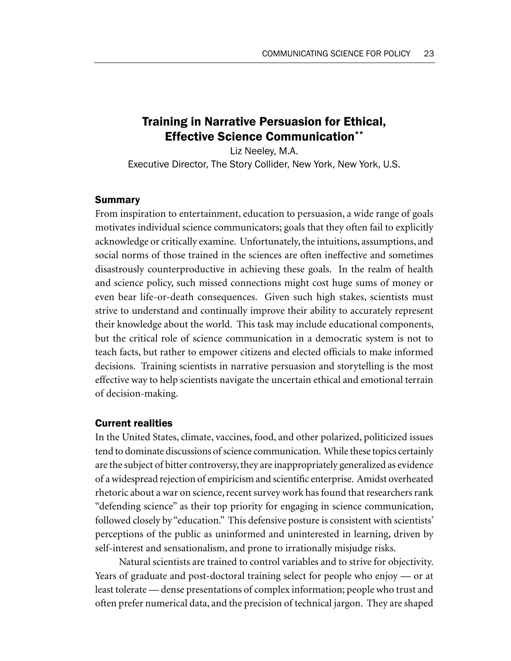# Training in Narrative Persuasion for Ethical, Effective Science Communication\*\*

Liz Neeley, M.A. Executive Director, The Story Collider, New York, New York, U.S.

#### Summary

From inspiration to entertainment, education to persuasion, a wide range of goals motivates individual science communicators; goals that they often fail to explicitly acknowledge or critically examine. Unfortunately, the intuitions, assumptions, and social norms of those trained in the sciences are often ineffective and sometimes disastrously counterproductive in achieving these goals. In the realm of health and science policy, such missed connections might cost huge sums of money or even bear life-or-death consequences. Given such high stakes, scientists must strive to understand and continually improve their ability to accurately represent their knowledge about the world. This task may include educational components, but the critical role of science communication in a democratic system is not to teach facts, but rather to empower citizens and elected officials to make informed decisions. Training scientists in narrative persuasion and storytelling is the most effective way to help scientists navigate the uncertain ethical and emotional terrain of decision-making.

#### Current realities

In the United States, climate, vaccines, food, and other polarized, politicized issues tend to dominate discussions of science communication. While these topics certainly are the subject of bitter controversy, they are inappropriately generalized as evidence of a widespread rejection of empiricism and scientific enterprise. Amidst overheated rhetoric about a war on science, recent survey work has found that researchers rank "defending science" as their top priority for engaging in science communication, followed closely by "education." This defensive posture is consistent with scientists' perceptions of the public as uninformed and uninterested in learning, driven by self-interest and sensationalism, and prone to irrationally misjudge risks.

Natural scientists are trained to control variables and to strive for objectivity. Years of graduate and post-doctoral training select for people who enjoy — or at least tolerate — dense presentations of complex information; people who trust and often prefer numerical data, and the precision of technical jargon. They are shaped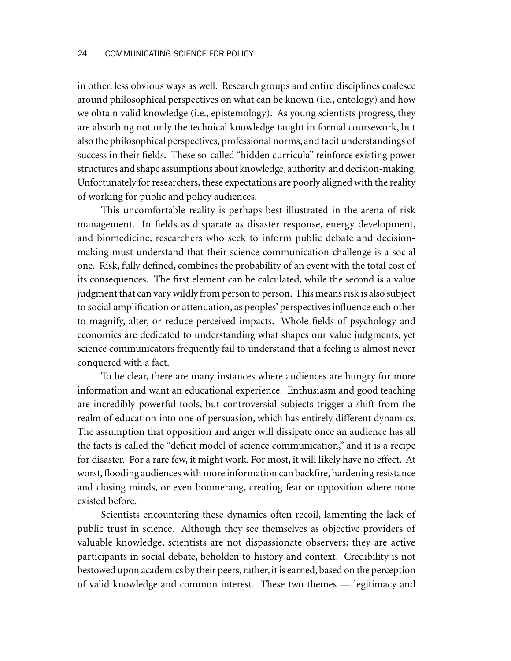in other, less obvious ways as well. Research groups and entire disciplines coalesce around philosophical perspectives on what can be known (i.e., ontology) and how we obtain valid knowledge (i.e., epistemology). As young scientists progress, they are absorbing not only the technical knowledge taught in formal coursework, but also the philosophical perspectives, professional norms, and tacit understandings of success in their fields. These so-called "hidden curricula" reinforce existing power structures and shape assumptions about knowledge, authority, and decision-making. Unfortunately for researchers, these expectations are poorly aligned with the reality of working for public and policy audiences.

This uncomfortable reality is perhaps best illustrated in the arena of risk management. In fields as disparate as disaster response, energy development, and biomedicine, researchers who seek to inform public debate and decisionmaking must understand that their science communication challenge is a social one. Risk, fully defined, combines the probability of an event with the total cost of its consequences. The first element can be calculated, while the second is a value judgment that can vary wildly from person to person. This means risk is also subject to social amplification or attenuation, as peoples' perspectives influence each other to magnify, alter, or reduce perceived impacts. Whole fields of psychology and economics are dedicated to understanding what shapes our value judgments, yet science communicators frequently fail to understand that a feeling is almost never conquered with a fact.

To be clear, there are many instances where audiences are hungry for more information and want an educational experience. Enthusiasm and good teaching are incredibly powerful tools, but controversial subjects trigger a shift from the realm of education into one of persuasion, which has entirely different dynamics. The assumption that opposition and anger will dissipate once an audience has all the facts is called the "deficit model of science communication," and it is a recipe for disaster. For a rare few, it might work. For most, it will likely have no effect. At worst, flooding audiences with more information can backfire, hardening resistance and closing minds, or even boomerang, creating fear or opposition where none existed before.

Scientists encountering these dynamics often recoil, lamenting the lack of public trust in science. Although they see themselves as objective providers of valuable knowledge, scientists are not dispassionate observers; they are active participants in social debate, beholden to history and context. Credibility is not bestowed upon academics by their peers, rather, it is earned, based on the perception of valid knowledge and common interest. These two themes — legitimacy and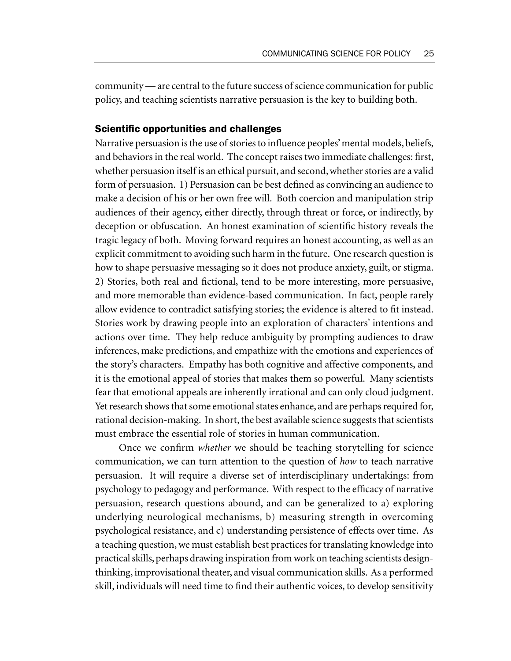community — are central to the future success of science communication for public policy, and teaching scientists narrative persuasion is the key to building both.

### Scientific opportunities and challenges

Narrative persuasion is the use of stories to influence peoples' mental models, beliefs, and behaviors in the real world. The concept raises two immediate challenges: first, whether persuasion itself is an ethical pursuit, and second, whether stories are a valid form of persuasion. 1) Persuasion can be best defined as convincing an audience to make a decision of his or her own free will. Both coercion and manipulation strip audiences of their agency, either directly, through threat or force, or indirectly, by deception or obfuscation. An honest examination of scientific history reveals the tragic legacy of both. Moving forward requires an honest accounting, as well as an explicit commitment to avoiding such harm in the future. One research question is how to shape persuasive messaging so it does not produce anxiety, guilt, or stigma. 2) Stories, both real and fictional, tend to be more interesting, more persuasive, and more memorable than evidence-based communication. In fact, people rarely allow evidence to contradict satisfying stories; the evidence is altered to fit instead. Stories work by drawing people into an exploration of characters' intentions and actions over time. They help reduce ambiguity by prompting audiences to draw inferences, make predictions, and empathize with the emotions and experiences of the story's characters. Empathy has both cognitive and affective components, and it is the emotional appeal of stories that makes them so powerful. Many scientists fear that emotional appeals are inherently irrational and can only cloud judgment. Yet research shows that some emotional states enhance, and are perhaps required for, rational decision-making. In short, the best available science suggests that scientists must embrace the essential role of stories in human communication.

Once we confirm *whether* we should be teaching storytelling for science communication, we can turn attention to the question of *how* to teach narrative persuasion. It will require a diverse set of interdisciplinary undertakings: from psychology to pedagogy and performance. With respect to the efficacy of narrative persuasion, research questions abound, and can be generalized to a) exploring underlying neurological mechanisms, b) measuring strength in overcoming psychological resistance, and c) understanding persistence of effects over time. As a teaching question, we must establish best practices for translating knowledge into practical skills, perhaps drawing inspiration from work on teaching scientists designthinking, improvisational theater, and visual communication skills. As a performed skill, individuals will need time to find their authentic voices, to develop sensitivity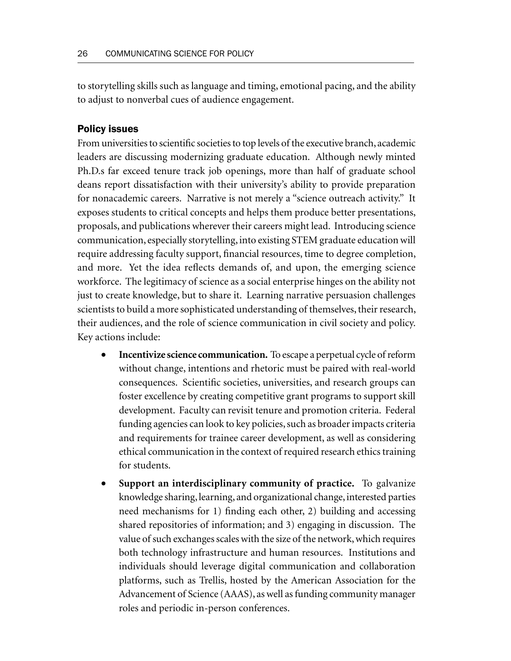to storytelling skills such as language and timing, emotional pacing, and the ability to adjust to nonverbal cues of audience engagement.

#### Policy issues

From universities to scientific societies to top levels of the executive branch, academic leaders are discussing modernizing graduate education. Although newly minted Ph.D.s far exceed tenure track job openings, more than half of graduate school deans report dissatisfaction with their university's ability to provide preparation for nonacademic careers. Narrative is not merely a "science outreach activity." It exposes students to critical concepts and helps them produce better presentations, proposals, and publications wherever their careers might lead. Introducing science communication, especially storytelling, into existing STEM graduate education will require addressing faculty support, financial resources, time to degree completion, and more. Yet the idea reflects demands of, and upon, the emerging science workforce. The legitimacy of science as a social enterprise hinges on the ability not just to create knowledge, but to share it. Learning narrative persuasion challenges scientists to build a more sophisticated understanding of themselves, their research, their audiences, and the role of science communication in civil society and policy. Key actions include:

- **Incentivize science communication.** To escape a perpetual cycle of reform without change, intentions and rhetoric must be paired with real-world consequences. Scientific societies, universities, and research groups can foster excellence by creating competitive grant programs to support skill development. Faculty can revisit tenure and promotion criteria. Federal funding agencies can look to key policies, such as broader impacts criteria and requirements for trainee career development, as well as considering ethical communication in the context of required research ethics training for students.
- **Support an interdisciplinary community of practice.** To galvanize knowledge sharing, learning, and organizational change, interested parties need mechanisms for 1) finding each other, 2) building and accessing shared repositories of information; and 3) engaging in discussion. The value of such exchanges scales with the size of the network, which requires both technology infrastructure and human resources. Institutions and individuals should leverage digital communication and collaboration platforms, such as Trellis, hosted by the American Association for the Advancement of Science (AAAS), as well as funding community manager roles and periodic in-person conferences.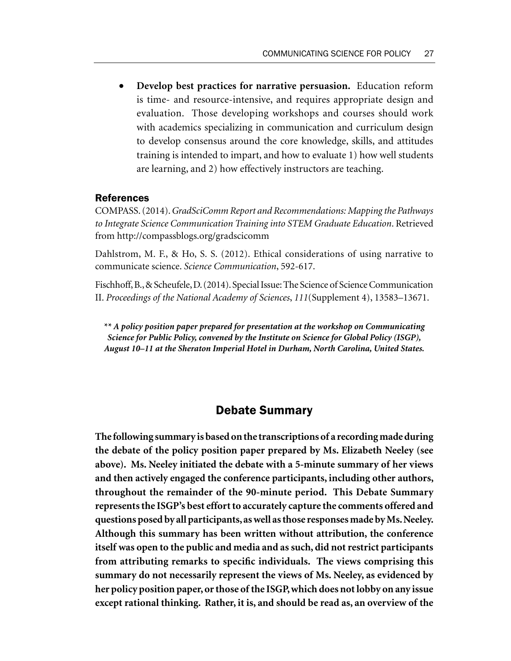• **Develop best practices for narrative persuasion.** Education reform is time- and resource-intensive, and requires appropriate design and evaluation. Those developing workshops and courses should work with academics specializing in communication and curriculum design to develop consensus around the core knowledge, skills, and attitudes training is intended to impart, and how to evaluate 1) how well students are learning, and 2) how effectively instructors are teaching.

#### References

COMPASS. (2014). *GradSciComm Report and Recommendations: Mapping the Pathways to Integrate Science Communication Training into STEM Graduate Education*. Retrieved from http://compassblogs.org/gradscicomm

Dahlstrom, M. F., & Ho, S. S. (2012). Ethical considerations of using narrative to communicate science. *Science Communication*, 592-617.

Fischhoff, B., & Scheufele, D. (2014). Special Issue: The Science of Science Communication II. *Proceedings of the National Academy of Sciences*, *111*(Supplement 4), 13583–13671.

*\*\* A policy position paper prepared for presentation at the workshop on Communicating Science for Public Policy, convened by the Institute on Science for Global Policy (ISGP), August 10–11 at the Sheraton Imperial Hotel in Durham, North Carolina, United States.*

## Debate Summary

**The following summary is based on the transcriptions of a recording made during the debate of the policy position paper prepared by Ms. Elizabeth Neeley (see above). Ms. Neeley initiated the debate with a 5-minute summary of her views and then actively engaged the conference participants, including other authors, throughout the remainder of the 90-minute period. This Debate Summary represents the ISGP's best effort to accurately capture the comments offered and questions posed by all participants, as well as those responses made by Ms. Neeley. Although this summary has been written without attribution, the conference itself was open to the public and media and as such, did not restrict participants from attributing remarks to specific individuals. The views comprising this summary do not necessarily represent the views of Ms. Neeley, as evidenced by her policy position paper, or those of the ISGP, which does not lobby on any issue except rational thinking. Rather, it is, and should be read as, an overview of the**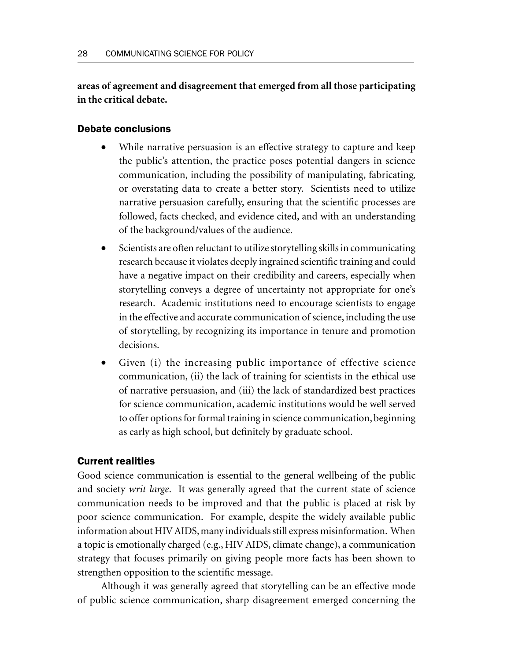**areas of agreement and disagreement that emerged from all those participating in the critical debate.**

#### Debate conclusions

- While narrative persuasion is an effective strategy to capture and keep the public's attention, the practice poses potential dangers in science communication, including the possibility of manipulating, fabricating, or overstating data to create a better story. Scientists need to utilize narrative persuasion carefully, ensuring that the scientific processes are followed, facts checked, and evidence cited, and with an understanding of the background/values of the audience.
- Scientists are often reluctant to utilize storytelling skills in communicating research because it violates deeply ingrained scientific training and could have a negative impact on their credibility and careers, especially when storytelling conveys a degree of uncertainty not appropriate for one's research. Academic institutions need to encourage scientists to engage in the effective and accurate communication of science, including the use of storytelling, by recognizing its importance in tenure and promotion decisions.
- Given (i) the increasing public importance of effective science communication, (ii) the lack of training for scientists in the ethical use of narrative persuasion, and (iii) the lack of standardized best practices for science communication, academic institutions would be well served to offer options for formal training in science communication, beginning as early as high school, but definitely by graduate school.

### Current realities

Good science communication is essential to the general wellbeing of the public and society *writ large*. It was generally agreed that the current state of science communication needs to be improved and that the public is placed at risk by poor science communication. For example, despite the widely available public information about HIV AIDS, many individuals still express misinformation. When a topic is emotionally charged (e.g., HIV AIDS, climate change), a communication strategy that focuses primarily on giving people more facts has been shown to strengthen opposition to the scientific message.

Although it was generally agreed that storytelling can be an effective mode of public science communication, sharp disagreement emerged concerning the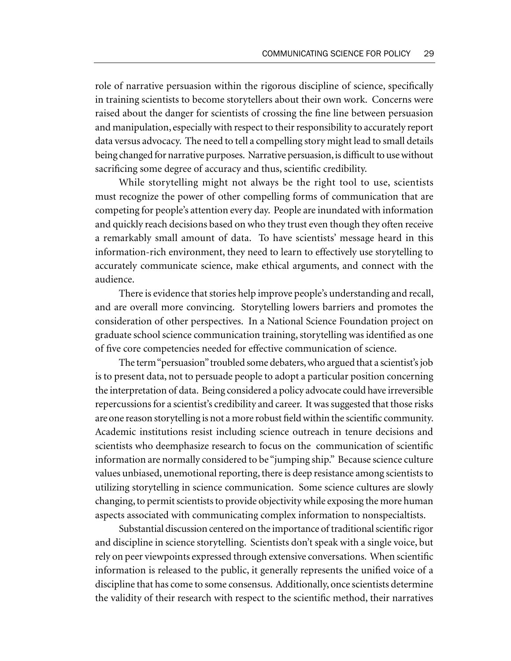role of narrative persuasion within the rigorous discipline of science, specifically in training scientists to become storytellers about their own work. Concerns were raised about the danger for scientists of crossing the fine line between persuasion and manipulation, especially with respect to their responsibility to accurately report data versus advocacy. The need to tell a compelling story might lead to small details being changed for narrative purposes. Narrative persuasion, is difficult to use without sacrificing some degree of accuracy and thus, scientific credibility.

While storytelling might not always be the right tool to use, scientists must recognize the power of other compelling forms of communication that are competing for people's attention every day. People are inundated with information and quickly reach decisions based on who they trust even though they often receive a remarkably small amount of data. To have scientists' message heard in this information-rich environment, they need to learn to effectively use storytelling to accurately communicate science, make ethical arguments, and connect with the audience.

There is evidence that stories help improve people's understanding and recall, and are overall more convincing. Storytelling lowers barriers and promotes the consideration of other perspectives. In a National Science Foundation project on graduate school science communication training, storytelling was identified as one of five core competencies needed for effective communication of science.

The term "persuasion" troubled some debaters, who argued that a scientist's job is to present data, not to persuade people to adopt a particular position concerning the interpretation of data. Being considered a policy advocate could have irreversible repercussions for a scientist's credibility and career. It was suggested that those risks areone reason storytelling is not a more robust field within the scientific community. Academic institutions resist including science outreach in tenure decisions and scientists who deemphasize research to focus on the communication of scientific information are normally considered to be "jumping ship." Because science culture values unbiased, unemotional reporting, there is deep resistance among scientists to utilizing storytelling in science communication. Some science cultures are slowly changing, to permit scientists to provide objectivity while exposing the more human aspects associated with communicating complex information to nonspecialtists.

Substantial discussion centered on the importance of traditional scientific rigor and discipline in science storytelling. Scientists don't speak with a single voice, but rely on peer viewpoints expressed through extensive conversations. When scientific information is released to the public, it generally represents the unified voice of a discipline that has come to some consensus. Additionally, once scientists determine the validity of their research with respect to the scientific method, their narratives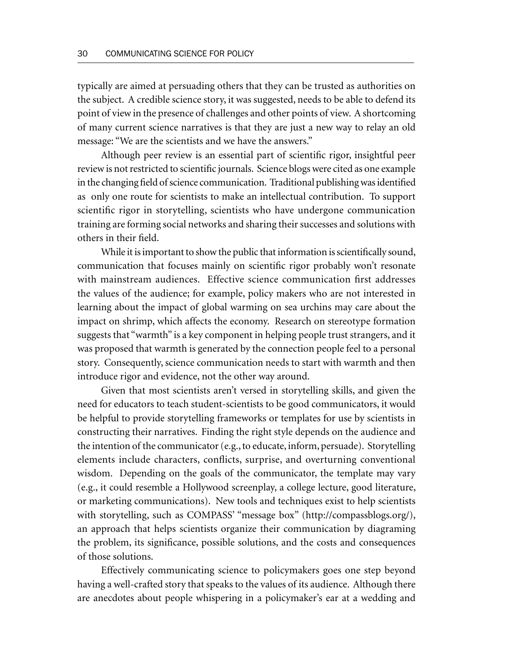typically are aimed at persuading others that they can be trusted as authorities on the subject. A credible science story, it was suggested, needs to be able to defend its point of view in the presence of challenges and other points of view. A shortcoming of many current science narratives is that they are just a new way to relay an old message: "We are the scientists and we have the answers."

Although peer review is an essential part of scientific rigor, insightful peer review is not restricted to scientific journals. Science blogs were cited as one example in the changing field of science communication. Traditional publishing was identified as only one route for scientists to make an intellectual contribution. To support scientific rigor in storytelling, scientists who have undergone communication training are forming social networks and sharing their successes and solutions with others in their field.

While it is important to show the public that information is scientifically sound, communication that focuses mainly on scientific rigor probably won't resonate with mainstream audiences. Effective science communication first addresses the values of the audience; for example, policy makers who are not interested in learning about the impact of global warming on sea urchins may care about the impact on shrimp, which affects the economy. Research on stereotype formation suggests that "warmth" is a key component in helping people trust strangers, and it was proposed that warmth is generated by the connection people feel to a personal story. Consequently, science communication needs to start with warmth and then introduce rigor and evidence, not the other way around.

Given that most scientists aren't versed in storytelling skills, and given the need for educators to teach student-scientists to be good communicators, it would be helpful to provide storytelling frameworks or templates for use by scientists in constructing their narratives. Finding the right style depends on the audience and the intention of the communicator (e.g., to educate, inform, persuade). Storytelling elements include characters, conflicts, surprise, and overturning conventional wisdom. Depending on the goals of the communicator, the template may vary (e.g., it could resemble a Hollywood screenplay, a college lecture, good literature, or marketing communications). New tools and techniques exist to help scientists with storytelling, such as COMPASS' "message box" (http://compassblogs.org/), an approach that helps scientists organize their communication by diagraming the problem, its significance, possible solutions, and the costs and consequences of those solutions.

Effectively communicating science to policymakers goes one step beyond having a well-crafted story that speaks to the values of its audience. Although there are anecdotes about people whispering in a policymaker's ear at a wedding and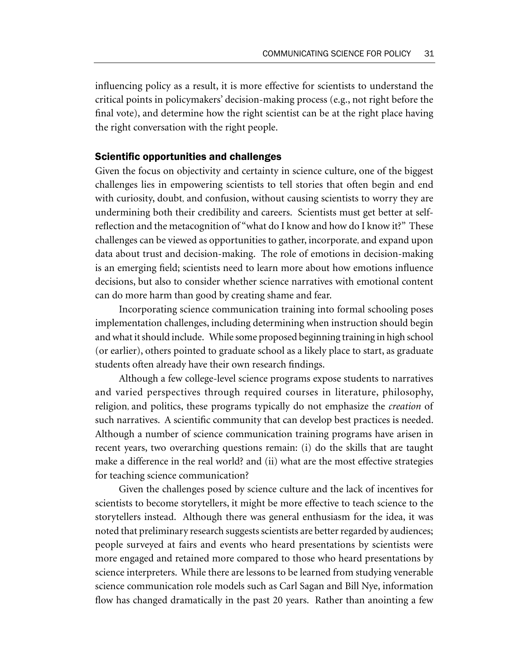influencing policy as a result, it is more effective for scientists to understand the critical points in policymakers' decision-making process (e.g., not right before the final vote), and determine how the right scientist can be at the right place having the right conversation with the right people.

#### Scientific opportunities and challenges

Given the focus on objectivity and certainty in science culture, one of the biggest challenges lies in empowering scientists to tell stories that often begin and end with curiosity, doubt, and confusion, without causing scientists to worry they are undermining both their credibility and careers. Scientists must get better at selfreflection and the metacognition of "what do I know and how do I know it?" These challenges can be viewed as opportunities to gather, incorporate, and expand upon data about trust and decision-making. The role of emotions in decision-making is an emerging field; scientists need to learn more about how emotions influence decisions, but also to consider whether science narratives with emotional content can do more harm than good by creating shame and fear.

Incorporating science communication training into formal schooling poses implementation challenges, including determining when instruction should begin and what it should include. While some proposed beginning training in high school (or earlier), others pointed to graduate school as a likely place to start, as graduate students often already have their own research findings.

Although a few college-level science programs expose students to narratives and varied perspectives through required courses in literature, philosophy, religion, and politics, these programs typically do not emphasize the *creation* of such narratives. A scientific community that can develop best practices is needed. Although a number of science communication training programs have arisen in recent years, two overarching questions remain: (i) do the skills that are taught make a difference in the real world? and (ii) what are the most effective strategies for teaching science communication?

Given the challenges posed by science culture and the lack of incentives for scientists to become storytellers, it might be more effective to teach science to the storytellers instead. Although there was general enthusiasm for the idea, it was noted that preliminary research suggests scientists are better regarded by audiences; people surveyed at fairs and events who heard presentations by scientists were more engaged and retained more compared to those who heard presentations by science interpreters. While there are lessons to be learned from studying venerable science communication role models such as Carl Sagan and Bill Nye, information flow has changed dramatically in the past 20 years. Rather than anointing a few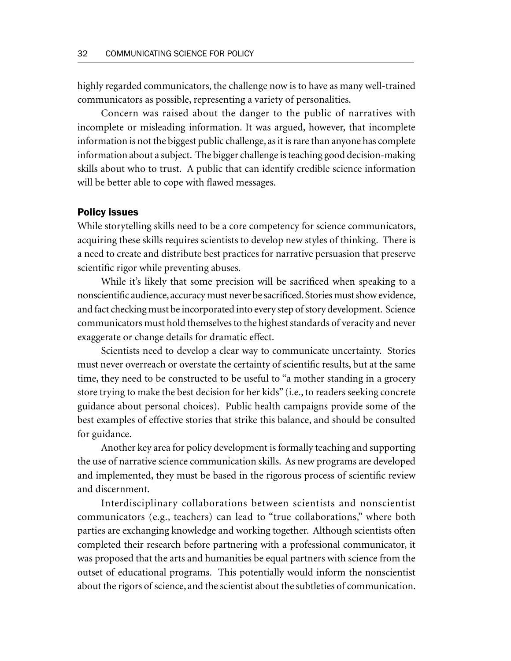highly regarded communicators, the challenge now is to have as many well-trained communicators as possible, representing a variety of personalities.

Concern was raised about the danger to the public of narratives with incomplete or misleading information. It was argued, however, that incomplete information is not the biggest public challenge, as it is rare than anyone has complete information about a subject. The bigger challenge is teaching good decision-making skills about who to trust. A public that can identify credible science information will be better able to cope with flawed messages.

#### Policy issues

While storytelling skills need to be a core competency for science communicators, acquiring these skills requires scientists to develop new styles of thinking. There is a need to create and distribute best practices for narrative persuasion that preserve scientific rigor while preventing abuses.

While it's likely that some precision will be sacrificed when speaking to a nonscientific audience, accuracy must never be sacrificed. Stories must show evidence, and fact checking must be incorporated into every step of story development.Science communicators must hold themselves to the highest standards of veracity and never exaggerate or change details for dramatic effect.

Scientists need to develop a clear way to communicate uncertainty. Stories must never overreach or overstate the certainty of scientific results, but at the same time, they need to be constructed to be useful to "a mother standing in a grocery store trying to make the best decision for her kids" (i.e., to readers seeking concrete guidance about personal choices). Public health campaigns provide some of the best examples of effective stories that strike this balance, and should be consulted for guidance.

Another key area for policy development is formally teaching and supporting the use of narrative science communication skills. As new programs are developed and implemented, they must be based in the rigorous process of scientific review and discernment.

Interdisciplinary collaborations between scientists and nonscientist communicators (e.g., teachers) can lead to "true collaborations," where both parties are exchanging knowledge and working together. Although scientists often completed their research before partnering with a professional communicator, it was proposed that the arts and humanities be equal partners with science from the outset of educational programs. This potentially would inform the nonscientist about the rigors of science, and the scientist about the subtleties of communication.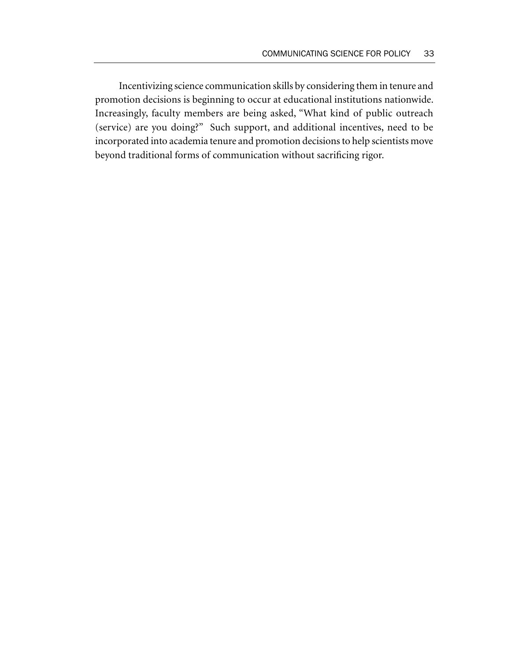Incentivizing science communication skills by considering them in tenure and promotion decisions is beginning to occur at educational institutions nationwide. Increasingly, faculty members are being asked, "What kind of public outreach (service) are you doing?" Such support, and additional incentives, need to be incorporated into academia tenure and promotion decisions to help scientists move beyond traditional forms of communication without sacrificing rigor.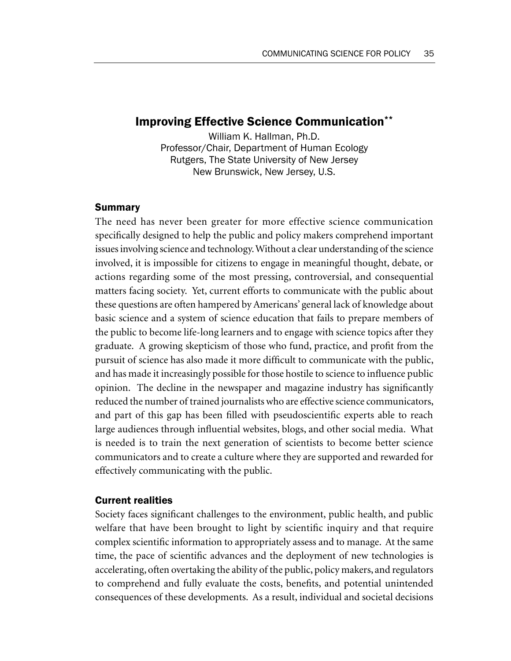# Improving Effective Science Communication\*\*

William K. Hallman, Ph.D. Professor/Chair, Department of Human Ecology Rutgers, The State University of New Jersey New Brunswick, New Jersey, U.S.

#### Summary

The need has never been greater for more effective science communication specifically designed to help the public and policy makers comprehend important issues involving science and technology. Without a clear understanding of the science involved, it is impossible for citizens to engage in meaningful thought, debate, or actions regarding some of the most pressing, controversial, and consequential matters facing society. Yet, current efforts to communicate with the public about these questions are often hampered by Americans' general lack of knowledge about basic science and a system of science education that fails to prepare members of the public to become life-long learners and to engage with science topics after they graduate. A growing skepticism of those who fund, practice, and profit from the pursuit of science has also made it more difficult to communicate with the public, and has made it increasingly possible for those hostile to science to influence public opinion. The decline in the newspaper and magazine industry has significantly reduced the number of trained journalists who are effective science communicators, and part of this gap has been filled with pseudoscientific experts able to reach large audiences through influential websites, blogs, and other social media. What is needed is to train the next generation of scientists to become better science communicators and to create a culture where they are supported and rewarded for effectively communicating with the public.

### Current realities

Society faces significant challenges to the environment, public health, and public welfare that have been brought to light by scientific inquiry and that require complex scientific information to appropriately assess and to manage. At the same time, the pace of scientific advances and the deployment of new technologies is accelerating, often overtaking the ability of the public, policy makers, and regulators to comprehend and fully evaluate the costs, benefits, and potential unintended consequences of these developments. As a result, individual and societal decisions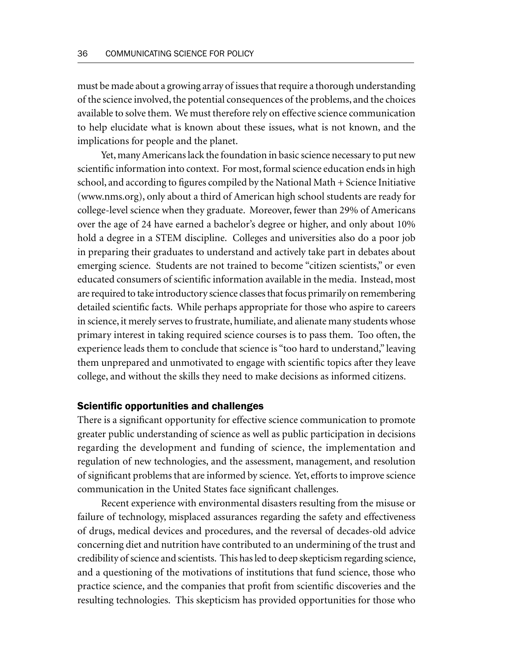must be made about a growing array of issues that require a thorough understanding of the science involved, the potential consequences of the problems, and the choices available to solve them. We must therefore rely on effective science communication to help elucidate what is known about these issues, what is not known, and the implications for people and the planet.

Yet, many Americans lack the foundation in basic science necessary to put new scientific information into context. For most, formal science education ends in high school, and according to figures compiled by the National Math + Science Initiative (www.nms.org), only about a third of American high school students are ready for college-level science when they graduate. Moreover, fewer than 29% of Americans over the age of 24 have earned a bachelor's degree or higher, and only about 10% hold a degree in a STEM discipline. Colleges and universities also do a poor job in preparing their graduates to understand and actively take part in debates about emerging science. Students are not trained to become "citizen scientists," or even educated consumers of scientific information available in the media. Instead, most are required to take introductory science classes that focus primarily on remembering detailed scientific facts. While perhaps appropriate for those who aspire to careers in science, it merely serves to frustrate, humiliate, and alienate many students whose primary interest in taking required science courses is to pass them. Too often, the experience leads them to conclude that science is "too hard to understand," leaving them unprepared and unmotivated to engage with scientific topics after they leave college, and without the skills they need to make decisions as informed citizens.

#### Scientific opportunities and challenges

There is a significant opportunity for effective science communication to promote greater public understanding of science as well as public participation in decisions regarding the development and funding of science, the implementation and regulation of new technologies, and the assessment, management, and resolution of significant problems that are informed by science. Yet, efforts to improve science communication in the United States face significant challenges.

Recent experience with environmental disasters resulting from the misuse or failure of technology, misplaced assurances regarding the safety and effectiveness of drugs, medical devices and procedures, and the reversal of decades-old advice concerning diet and nutrition have contributed to an undermining of the trust and credibility of science and scientists. This has led to deep skepticism regarding science, and a questioning of the motivations of institutions that fund science, those who practice science, and the companies that profit from scientific discoveries and the resulting technologies. This skepticism has provided opportunities for those who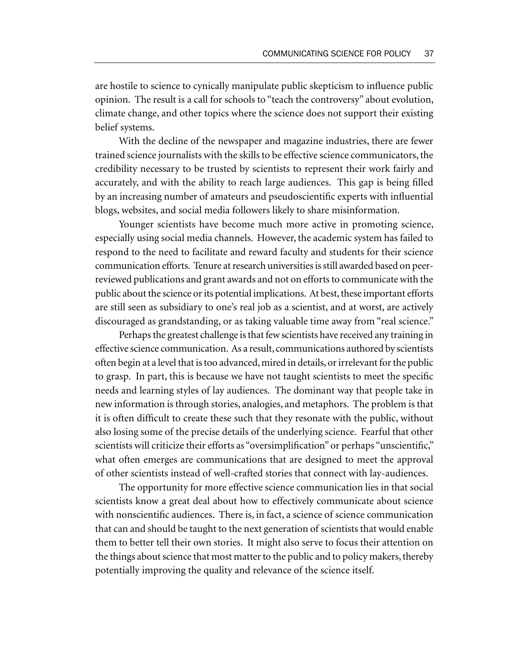are hostile to science to cynically manipulate public skepticism to influence public opinion. The result is a call for schools to "teach the controversy" about evolution, climate change, and other topics where the science does not support their existing belief systems.

With the decline of the newspaper and magazine industries, there are fewer trained science journalists with the skills to be effective science communicators, the credibility necessary to be trusted by scientists to represent their work fairly and accurately, and with the ability to reach large audiences. This gap is being filled by an increasing number of amateurs and pseudoscientific experts with influential blogs, websites, and social media followers likely to share misinformation.

Younger scientists have become much more active in promoting science, especially using social media channels. However, the academic system has failed to respond to the need to facilitate and reward faculty and students for their science communication efforts. Tenure at research universities is still awarded based on peerreviewed publications and grant awards and not on efforts to communicate with the public about the science or its potential implications. At best, these important efforts are still seen as subsidiary to one's real job as a scientist, and at worst, are actively discouraged as grandstanding, or as taking valuable time away from "real science."

Perhaps the greatest challenge is that few scientists have received any training in effective science communication. As a result, communications authored by scientists often begin at a level that is too advanced, mired in details, or irrelevant for the public to grasp. In part, this is because we have not taught scientists to meet the specific needs and learning styles of lay audiences. The dominant way that people take in new information is through stories, analogies, and metaphors. The problem is that it is often difficult to create these such that they resonate with the public, without also losing some of the precise details of the underlying science. Fearful that other scientists will criticize their efforts as "oversimplification" or perhaps "unscientific," what often emerges are communications that are designed to meet the approval of other scientists instead of well-crafted stories that connect with lay-audiences.

The opportunity for more effective science communication lies in that social scientists know a great deal about how to effectively communicate about science with nonscientific audiences. There is, in fact, a science of science communication that can and should be taught to the next generation of scientists that would enable them to better tell their own stories. It might also serve to focus their attention on the things about science that most matter to the public and to policy makers, thereby potentially improving the quality and relevance of the science itself.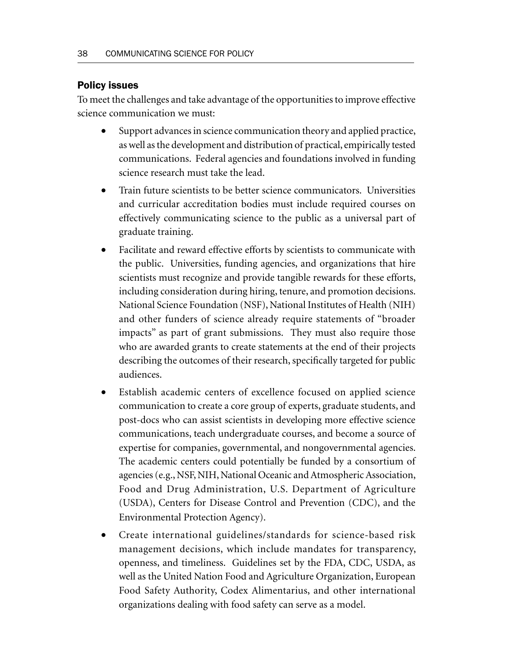# Policy issues

To meet the challenges and take advantage of the opportunities to improve effective science communication we must:

- Support advances in science communication theory and applied practice, as well as the development and distribution of practical, empirically tested communications. Federal agencies and foundations involved in funding science research must take the lead.
- Train future scientists to be better science communicators. Universities and curricular accreditation bodies must include required courses on effectively communicating science to the public as a universal part of graduate training.
- Facilitate and reward effective efforts by scientists to communicate with the public. Universities, funding agencies, and organizations that hire scientists must recognize and provide tangible rewards for these efforts, including consideration during hiring, tenure, and promotion decisions. National Science Foundation (NSF), National Institutes of Health (NIH) and other funders of science already require statements of "broader impacts" as part of grant submissions. They must also require those who are awarded grants to create statements at the end of their projects describing the outcomes of their research, specifically targeted for public audiences.
- Establish academic centers of excellence focused on applied science communication to create a core group of experts, graduate students, and post-docs who can assist scientists in developing more effective science communications, teach undergraduate courses, and become a source of expertise for companies, governmental, and nongovernmental agencies. The academic centers could potentially be funded by a consortium of agencies (e.g., NSF, NIH, National Oceanic and Atmospheric Association, Food and Drug Administration, U.S. Department of Agriculture (USDA), Centers for Disease Control and Prevention (CDC), and the Environmental Protection Agency).
- Create international guidelines/standards for science-based risk management decisions, which include mandates for transparency, openness, and timeliness. Guidelines set by the FDA, CDC, USDA, as well as the United Nation Food and Agriculture Organization, European Food Safety Authority, Codex Alimentarius, and other international organizations dealing with food safety can serve as a model.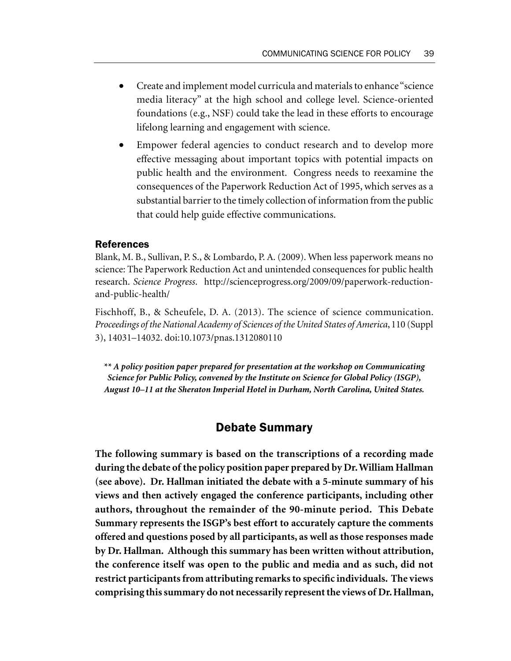- Create and implement model curricula and materials to enhance "science media literacy" at the high school and college level. Science-oriented foundations (e.g., NSF) could take the lead in these efforts to encourage lifelong learning and engagement with science.
- Empower federal agencies to conduct research and to develop more effective messaging about important topics with potential impacts on public health and the environment. Congress needs to reexamine the consequences of the Paperwork Reduction Act of 1995, which serves as a substantial barrier to the timely collection of information from the public that could help guide effective communications.

#### References

Blank, M. B., Sullivan, P. S., & Lombardo, P. A. (2009). When less paperwork means no science: The Paperwork Reduction Act and unintended consequences for public health research. *Science Progress*. http://scienceprogress.org/2009/09/paperwork-reductionand-public-health/

Fischhoff, B., & Scheufele, D. A. (2013). The science of science communication. *Proceedings of the National Academy of Sciences of the United States of America*, 110 (Suppl 3), 14031–14032. doi:10.1073/pnas.1312080110

*\*\* A policy position paper prepared for presentation at the workshop on Communicating Science for Public Policy, convened by the Institute on Science for Global Policy (ISGP), August 10–11 at the Sheraton Imperial Hotel in Durham, North Carolina, United States.*

# Debate Summary

**The following summary is based on the transcriptions of a recording made during the debate of the policy position paper prepared by Dr. William Hallman (see above). Dr. Hallman initiated the debate with a 5-minute summary of his views and then actively engaged the conference participants, including other authors, throughout the remainder of the 90-minute period. This Debate Summary represents the ISGP's best effort to accurately capture the comments offered and questions posed by all participants, as well as those responses made by Dr. Hallman. Although this summary has been written without attribution, the conference itself was open to the public and media and as such, did not restrict participants from attributing remarks to specific individuals. The views comprising this summary do not necessarily represent the views of Dr. Hallman,**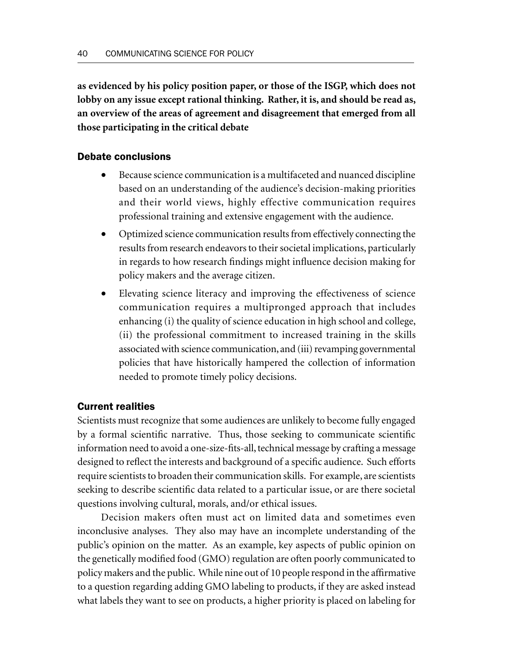**as evidenced by his policy position paper, or those of the ISGP, which does not lobby on any issue except rational thinking. Rather, it is, and should be read as, an overview of the areas of agreement and disagreement that emerged from all those participating in the critical debate**

### Debate conclusions

- Because science communication is a multifaceted and nuanced discipline based on an understanding of the audience's decision-making priorities and their world views, highly effective communication requires professional training and extensive engagement with the audience.
- Optimized science communication results from effectively connecting the results from research endeavors to their societal implications, particularly in regards to how research findings might influence decision making for policy makers and the average citizen.
- Elevating science literacy and improving the effectiveness of science communication requires a multipronged approach that includes enhancing (i) the quality of science education in high school and college, (ii) the professional commitment to increased training in the skills associated with science communication, and (iii) revamping governmental policies that have historically hampered the collection of information needed to promote timely policy decisions.

### Current realities

Scientists must recognize that some audiences are unlikely to become fully engaged by a formal scientific narrative. Thus, those seeking to communicate scientific information need to avoid a one-size-fits-all, technical message by crafting a message designed to reflect the interests and background of a specific audience. Such efforts require scientists to broaden their communication skills. For example, are scientists seeking to describe scientific data related to a particular issue, or are there societal questions involving cultural, morals, and/or ethical issues.

Decision makers often must act on limited data and sometimes even inconclusive analyses. They also may have an incomplete understanding of the public's opinion on the matter. As an example, key aspects of public opinion on the genetically modified food (GMO) regulation are often poorly communicated to policy makers and the public. While nine out of 10 people respond in the affirmative to a question regarding adding GMO labeling to products, if they are asked instead what labels they want to see on products, a higher priority is placed on labeling for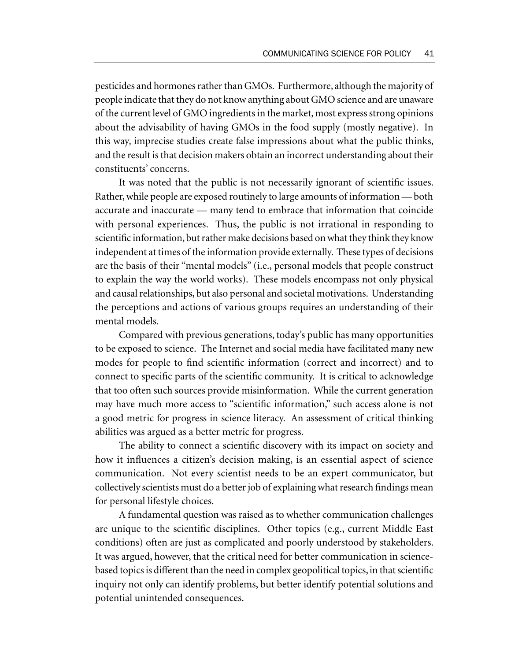pesticides and hormones rather than GMOs. Furthermore, although the majority of people indicate that they do not know anything about GMO science and are unaware of the current level of GMO ingredients in the market, most express strong opinions about the advisability of having GMOs in the food supply (mostly negative). In this way, imprecise studies create false impressions about what the public thinks, and the result is that decision makers obtain an incorrect understanding about their constituents' concerns.

It was noted that the public is not necessarily ignorant of scientific issues. Rather, while people are exposed routinely to large amounts of information — both accurate and inaccurate — many tend to embrace that information that coincide with personal experiences. Thus, the public is not irrational in responding to scientific information, but rather make decisions based on what they think they know independent at times of the information provide externally. These types of decisions are the basis of their "mental models" (i.e., personal models that people construct to explain the way the world works). These models encompass not only physical and causal relationships, but also personal and societal motivations. Understanding the perceptions and actions of various groups requires an understanding of their mental models.

Compared with previous generations, today's public has many opportunities to be exposed to science. The Internet and social media have facilitated many new modes for people to find scientific information (correct and incorrect) and to connect to specific parts of the scientific community. It is critical to acknowledge that too often such sources provide misinformation. While the current generation may have much more access to "scientific information," such access alone is not a good metric for progress in science literacy. An assessment of critical thinking abilities was argued as a better metric for progress.

The ability to connect a scientific discovery with its impact on society and how it influences a citizen's decision making, is an essential aspect of science communication. Not every scientist needs to be an expert communicator, but collectively scientists must do a better job of explaining what research findings mean for personal lifestyle choices.

A fundamental question was raised as to whether communication challenges are unique to the scientific disciplines. Other topics (e.g., current Middle East conditions) often are just as complicated and poorly understood by stakeholders. It was argued, however, that the critical need for better communication in sciencebased topics is different than the need in complex geopolitical topics, in that scientific inquiry not only can identify problems, but better identify potential solutions and potential unintended consequences.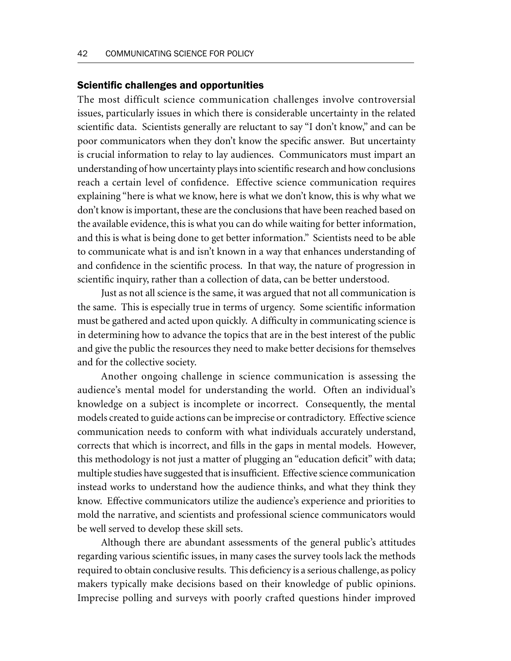#### Scientific challenges and opportunities

The most difficult science communication challenges involve controversial issues, particularly issues in which there is considerable uncertainty in the related scientific data. Scientists generally are reluctant to say "I don't know," and can be poor communicators when they don't know the specific answer. But uncertainty is crucial information to relay to lay audiences. Communicators must impart an understanding of how uncertainty plays into scientific research and how conclusions reach a certain level of confidence. Effective science communication requires explaining "here is what we know, here is what we don't know, this is why what we don't know is important, these are the conclusions that have been reached based on the available evidence, this is what you can do while waiting for better information, and this is what is being done to get better information." Scientists need to be able to communicate what is and isn't known in a way that enhances understanding of and confidence in the scientific process. In that way, the nature of progression in scientific inquiry, rather than a collection of data, can be better understood.

Just as not all science is the same, it was argued that not all communication is the same. This is especially true in terms of urgency. Some scientific information must be gathered and acted upon quickly. A difficulty in communicating science is in determining how to advance the topics that are in the best interest of the public and give the public the resources they need to make better decisions for themselves and for the collective society.

Another ongoing challenge in science communication is assessing the audience's mental model for understanding the world. Often an individual's knowledge on a subject is incomplete or incorrect. Consequently, the mental models created to guide actions can be imprecise or contradictory. Effective science communication needs to conform with what individuals accurately understand, corrects that which is incorrect, and fills in the gaps in mental models. However, this methodology is not just a matter of plugging an "education deficit" with data; multiple studies have suggested that is insufficient. Effective science communication instead works to understand how the audience thinks, and what they think they know. Effective communicators utilize the audience's experience and priorities to mold the narrative, and scientists and professional science communicators would be well served to develop these skill sets.

Although there are abundant assessments of the general public's attitudes regarding various scientific issues, in many cases the survey tools lack the methods required to obtain conclusive results. This deficiency is a serious challenge, as policy makers typically make decisions based on their knowledge of public opinions. Imprecise polling and surveys with poorly crafted questions hinder improved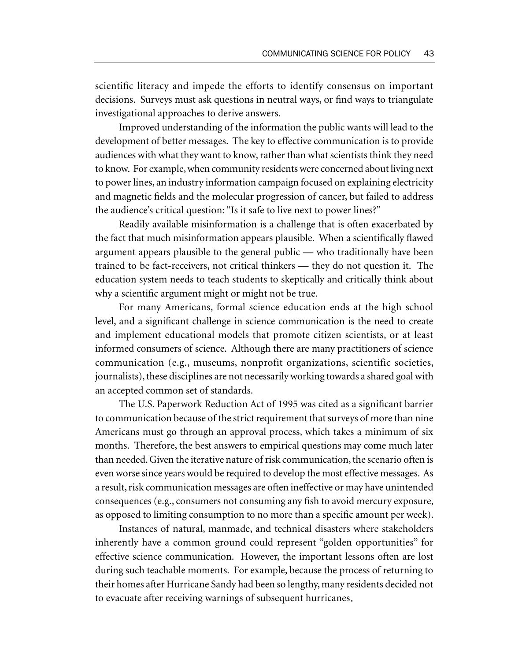scientific literacy and impede the efforts to identify consensus on important decisions. Surveys must ask questions in neutral ways, or find ways to triangulate investigational approaches to derive answers.

Improved understanding of the information the public wants will lead to the development of better messages. The key to effective communication is to provide audiences with what they want to know, rather than what scientists think they need to know. For example, when community residents were concerned about living next to power lines, an industry information campaign focused on explaining electricity and magnetic fields and the molecular progression of cancer, but failed to address the audience's critical question: "Is it safe to live next to power lines?"

Readily available misinformation is a challenge that is often exacerbated by the fact that much misinformation appears plausible. When a scientifically flawed argument appears plausible to the general public — who traditionally have been trained to be fact-receivers, not critical thinkers — they do not question it. The education system needs to teach students to skeptically and critically think about why a scientific argument might or might not be true.

For many Americans, formal science education ends at the high school level, and a significant challenge in science communication is the need to create and implement educational models that promote citizen scientists, or at least informed consumers of science. Although there are many practitioners of science communication (e.g., museums, nonprofit organizations, scientific societies, journalists), these disciplines are not necessarily working towards a shared goal with an accepted common set of standards.

The U.S. Paperwork Reduction Act of 1995 was cited as a significant barrier to communication because of the strict requirement that surveys of more than nine Americans must go through an approval process, which takes a minimum of six months. Therefore, the best answers to empirical questions may come much later than needed. Given the iterative nature of risk communication, the scenario often is even worse since years would be required to develop the most effective messages. As a result, risk communication messages are often ineffective or may have unintended consequences (e.g., consumers not consuming any fish to avoid mercury exposure, as opposed to limiting consumption to no more than a specific amount per week).

Instances of natural, manmade, and technical disasters where stakeholders inherently have a common ground could represent "golden opportunities" for effective science communication. However, the important lessons often are lost during such teachable moments. For example, because the process of returning to their homes after Hurricane Sandy had been so lengthy, many residents decided not to evacuate after receiving warnings of subsequent hurricanes**.**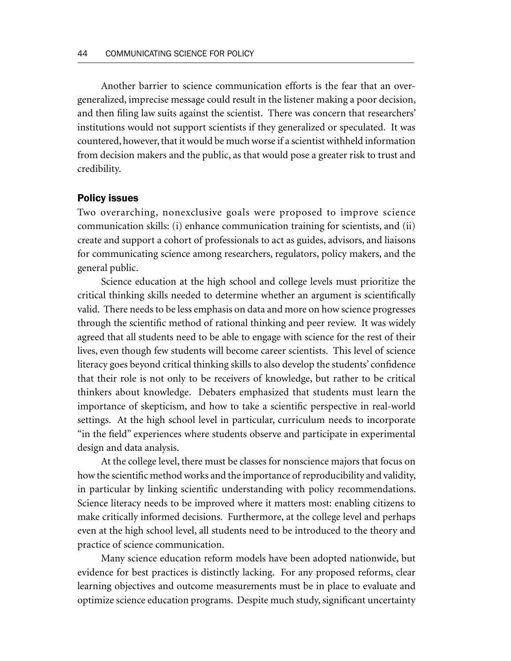Another barrier to science communication efforts is the fear that an overgeneralized, imprecise message could result in the listener making a poor decision, and then filing law suits against the scientist. There was concern that researchers' institutions would not support scientists if they generalized or speculated. It was countered, however, that it would be much worse if a scientist withheld information from decision makers and the public, as that would pose a greater risk to trust and credibility.

#### Policy issues

Two overarching, nonexclusive goals were proposed to improve science communication skills: (i) enhance communication training for scientists, and (ii) create and support a cohort of professionals to act as guides, advisors, and liaisons for communicating science among researchers, regulators, policy makers, and the general public.

Science education at the high school and college levels must prioritize the critical thinking skills needed to determine whether an argument is scientifically valid. There needs to be less emphasis on data and more on how science progresses through the scientific method of rational thinking and peer review. It was widely agreed that all students need to be able to engage with science for the rest of their lives, even though few students will become career scientists. This level of science literacy goes beyond critical thinking skills to also develop the students' confidence that their role is not only to be receivers of knowledge, but rather to be critical thinkers about knowledge. Debaters emphasized that students must learn the importance of skepticism, and how to take a scientific perspective in real-world settings. At the high school level in particular, curriculum needs to incorporate "in the field" experiences where students observe and participate in experimental design and data analysis.

At the college level, there must be classes for nonscience majors that focus on how the scientific method works and the importance of reproducibility and validity, in particular by linking scientific understanding with policy recommendations. Science literacy needs to be improved where it matters most: enabling citizens to make critically informed decisions. Furthermore, at the college level and perhaps even at the high school level, all students need to be introduced to the theory and practice of science communication.

Many science education reform models have been adopted nationwide, but evidence for best practices is distinctly lacking. For any proposed reforms, clear learning objectives and outcome measurements must be in place to evaluate and optimize science education programs. Despite much study, significant uncertainty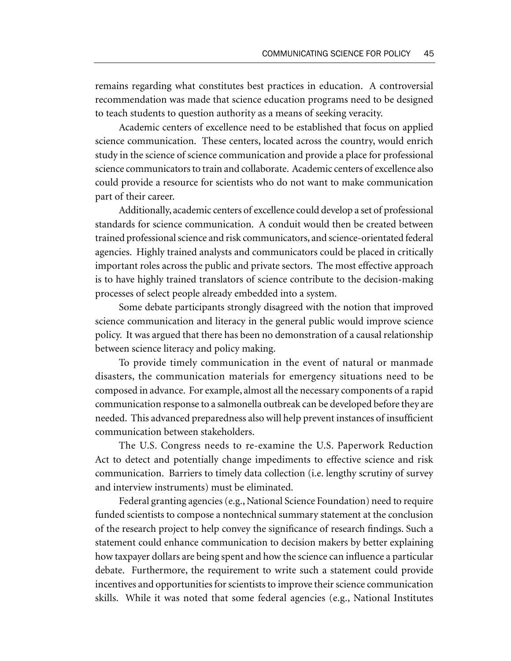remains regarding what constitutes best practices in education. A controversial recommendation was made that science education programs need to be designed to teach students to question authority as a means of seeking veracity.

Academic centers of excellence need to be established that focus on applied science communication. These centers, located across the country, would enrich study in the science of science communication and provide a place for professional science communicators to train and collaborate. Academic centers of excellence also could provide a resource for scientists who do not want to make communication part of their career.

Additionally, academic centers of excellence could develop a set of professional standards for science communication. A conduit would then be created between trained professional science and risk communicators, and science-orientated federal agencies. Highly trained analysts and communicators could be placed in critically important roles across the public and private sectors. The most effective approach is to have highly trained translators of science contribute to the decision-making processes of select people already embedded into a system.

Some debate participants strongly disagreed with the notion that improved science communication and literacy in the general public would improve science policy. It was argued that there has been no demonstration of a causal relationship between science literacy and policy making.

To provide timely communication in the event of natural or manmade disasters, the communication materials for emergency situations need to be composed in advance. For example, almost all the necessary components of a rapid communication response to a salmonella outbreak can be developed before they are needed. This advanced preparedness also will help prevent instances of insufficient communication between stakeholders.

The U.S. Congress needs to re-examine the U.S. Paperwork Reduction Act to detect and potentially change impediments to effective science and risk communication. Barriers to timely data collection (i.e. lengthy scrutiny of survey and interview instruments) must be eliminated.

Federal granting agencies (e.g., National Science Foundation) need to require funded scientists to compose a nontechnical summary statement at the conclusion of the research project to help convey the significance of research findings. Such a statement could enhance communication to decision makers by better explaining how taxpayer dollars are being spent and how the science can influence a particular debate. Furthermore, the requirement to write such a statement could provide incentives and opportunities for scientists to improve their science communication skills. While it was noted that some federal agencies (e.g., National Institutes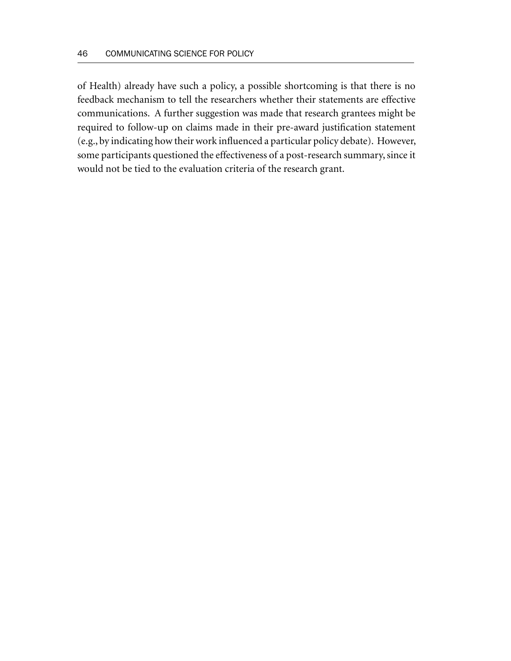of Health) already have such a policy, a possible shortcoming is that there is no feedback mechanism to tell the researchers whether their statements are effective communications. A further suggestion was made that research grantees might be required to follow-up on claims made in their pre-award justification statement (e.g., by indicating how their work influenced a particular policy debate). However, some participants questioned the effectiveness of a post-research summary, since it would not be tied to the evaluation criteria of the research grant.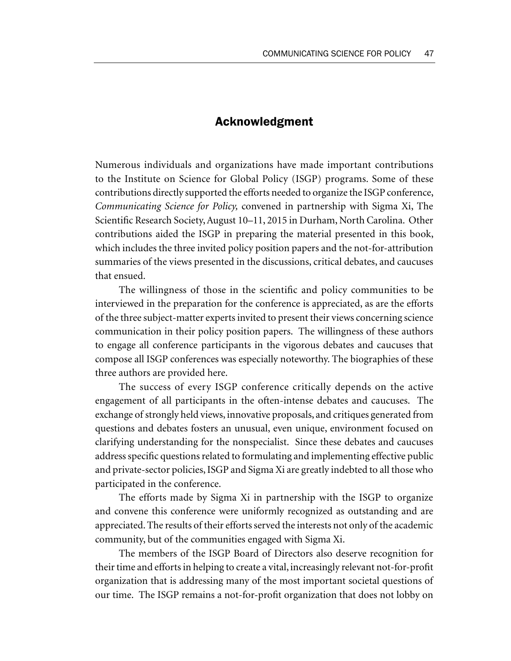# Acknowledgment

Numerous individuals and organizations have made important contributions to the Institute on Science for Global Policy (ISGP) programs. Some of these contributions directly supported the efforts needed to organize the ISGP conference, *Communicating Science for Policy,* convened in partnership with Sigma Xi, The Scientific Research Society, August 10–11, 2015 in Durham, North Carolina. Other contributions aided the ISGP in preparing the material presented in this book, which includes the three invited policy position papers and the not-for-attribution summaries of the views presented in the discussions, critical debates, and caucuses that ensued.

The willingness of those in the scientific and policy communities to be interviewed in the preparation for the conference is appreciated, as are the efforts of the three subject-matter experts invited to present their views concerning science communication in their policy position papers. The willingness of these authors to engage all conference participants in the vigorous debates and caucuses that compose all ISGP conferences was especially noteworthy. The biographies of these three authors are provided here.

The success of every ISGP conference critically depends on the active engagement of all participants in the often-intense debates and caucuses. The exchange of strongly held views, innovative proposals, and critiques generated from questions and debates fosters an unusual, even unique, environment focused on clarifying understanding for the nonspecialist. Since these debates and caucuses address specific questions related to formulating and implementing effective public and private-sector policies, ISGP and Sigma Xi are greatly indebted to all those who participated in the conference.

The efforts made by Sigma Xi in partnership with the ISGP to organize and convene this conference were uniformly recognized as outstanding and are appreciated. The results of their efforts served the interests not only of the academic community, but of the communities engaged with Sigma Xi.

The members of the ISGP Board of Directors also deserve recognition for their time and efforts in helping to create a vital, increasingly relevant not-for-profit organization that is addressing many of the most important societal questions of our time. The ISGP remains a not-for-profit organization that does not lobby on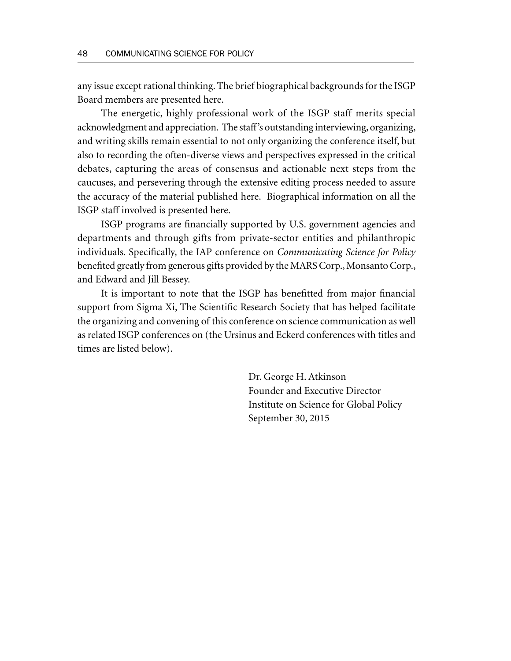any issue except rational thinking. The brief biographical backgrounds for the ISGP Board members are presented here.

The energetic, highly professional work of the ISGP staff merits special acknowledgment and appreciation. The staff's outstanding interviewing, organizing, and writing skills remain essential to not only organizing the conference itself, but also to recording the often-diverse views and perspectives expressed in the critical debates, capturing the areas of consensus and actionable next steps from the caucuses, and persevering through the extensive editing process needed to assure the accuracy of the material published here. Biographical information on all the ISGP staff involved is presented here.

ISGP programs are financially supported by U.S. government agencies and departments and through gifts from private-sector entities and philanthropic individuals. Specifically, the IAP conference on *Communicating Science for Policy* benefited greatly from generous gifts provided by the MARS Corp., Monsanto Corp., and Edward and Jill Bessey.

It is important to note that the ISGP has benefitted from major financial support from Sigma Xi, The Scientific Research Society that has helped facilitate the organizing and convening of this conference on science communication as well as related ISGP conferences on (the Ursinus and Eckerd conferences with titles and times are listed below).

> Dr. George H. Atkinson Founder and Executive Director Institute on Science for Global Policy September 30, 2015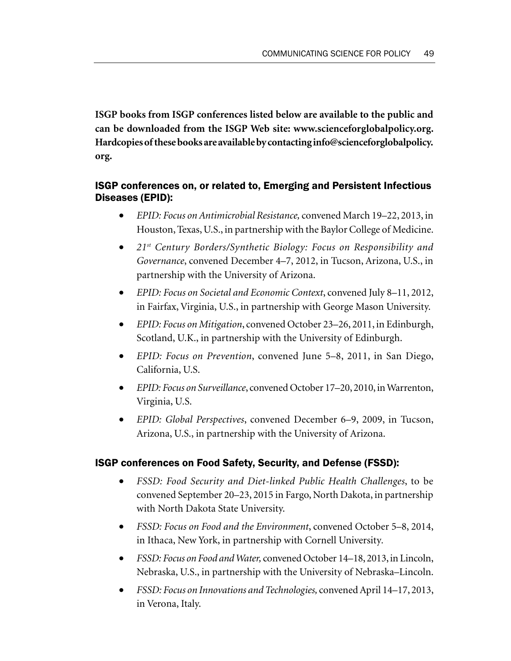**ISGP books from ISGP conferences listed below are available to the public and can be downloaded from the ISGP Web site: www.scienceforglobalpolicy.org. Hardcopies of these books are available by contacting info@scienceforglobalpolicy. org.**

# ISGP conferences on, or related to, Emerging and Persistent Infectious Diseases (EPID):

- *EPID: Focus on Antimicrobial Resistance,* convened March 19–22, 2013, in Houston, Texas, U.S., in partnership with the Baylor College of Medicine.
- *21st Century Borders/Synthetic Biology: Focus on Responsibility and Governance*, convened December 4–7, 2012, in Tucson, Arizona, U.S., in partnership with the University of Arizona.
- *EPID: Focus on Societal and Economic Context*, convened July 8–11, 2012, in Fairfax, Virginia, U.S., in partnership with George Mason University.
- *EPID: Focus on Mitigation*, convened October 23–26, 2011, in Edinburgh, Scotland, U.K., in partnership with the University of Edinburgh.
- *EPID: Focus on Prevention*, convened June 5–8, 2011, in San Diego, California, U.S.
- *EPID: Focus on Surveillance*, convened October 17–20, 2010, in Warrenton, Virginia, U.S.
- *EPID: Global Perspectives*, convened December 6–9, 2009, in Tucson, Arizona, U.S., in partnership with the University of Arizona.

# ISGP conferences on Food Safety, Security, and Defense (FSSD):

- *FSSD: Food Security and Diet-linked Public Health Challenges*, to be convened September 20–23, 2015 in Fargo, North Dakota, in partnership with North Dakota State University.
- *FSSD: Focus on Food and the Environment*, convened October 5–8, 2014, in Ithaca, New York, in partnership with Cornell University*.*
- *FSSD: Focus on Food and Water,* convened October 14–18, 2013, in Lincoln, Nebraska, U.S., in partnership with the University of Nebraska–Lincoln.
- *FSSD: Focus on Innovations and Technologies,* convened April 14–17, 2013, in Verona, Italy.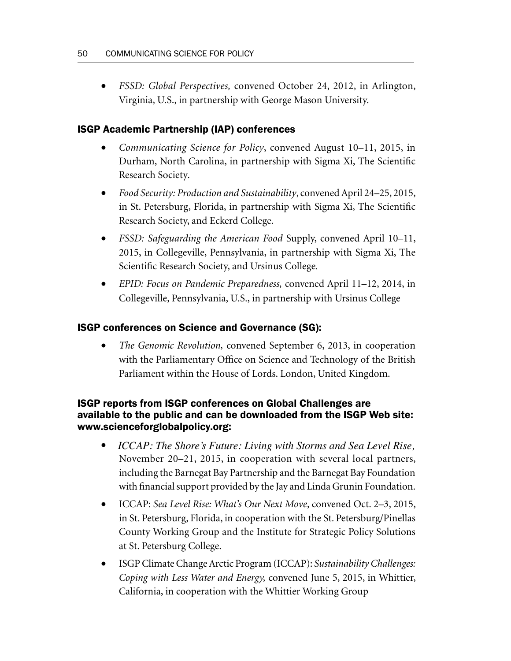• *FSSD: Global Perspectives,* convened October 24, 2012, in Arlington, Virginia, U.S., in partnership with George Mason University.

# ISGP Academic Partnership (IAP) conferences

- *Communicating Science for Policy*, convened August 10–11, 2015, in Durham, North Carolina, in partnership with Sigma Xi, The Scientific Research Society*.*
- *Food Security: Production and Sustainability*, convened April 24–25, 2015, in St. Petersburg, Florida, in partnership with Sigma Xi, The Scientific Research Society, and Eckerd College*.*
- *FSSD: Safeguarding the American Food* Supply, convened April 10–11, 2015, in Collegeville, Pennsylvania, in partnership with Sigma Xi, The Scientific Research Society, and Ursinus College*.*
- *EPID: Focus on Pandemic Preparedness,* convened April 11–12, 2014, in Collegeville, Pennsylvania, U.S., in partnership with Ursinus College

# ISGP conferences on Science and Governance (SG):

• *The Genomic Revolution,* convened September 6, 2013, in cooperation with the Parliamentary Office on Science and Technology of the British Parliament within the House of Lords. London, United Kingdom.

# ISGP reports from ISGP conferences on Global Challenges are available to the public and can be downloaded from the ISGP Web site: www.scienceforglobalpolicy.org:

- ICCAP: The Shore's Future: Living with Storms and Sea Level Rise, *ICCAP: The Shore's Future: Living with Storms and Sea Level Rise,*November 20–21, 2015, in cooperation with several local partners, including the Barnegat Bay Partnership and the Barnegat Bay Foundation with financial support provided by the Jay and Linda Grunin Foundation.
- ICCAP: *Sea Level Rise: What's Our Next Move*, convened Oct. 2–3, 2015, in St. Petersburg, Florida, in cooperation with the St. Petersburg/Pinellas County Working Group and the Institute for Strategic Policy Solutions at St. Petersburg College.
- ISGP Climate Change Arctic Program (ICCAP): *Sustainability Challenges: Coping with Less Water and Energy,* convened June 5, 2015, in Whittier, California, in cooperation with the Whittier Working Group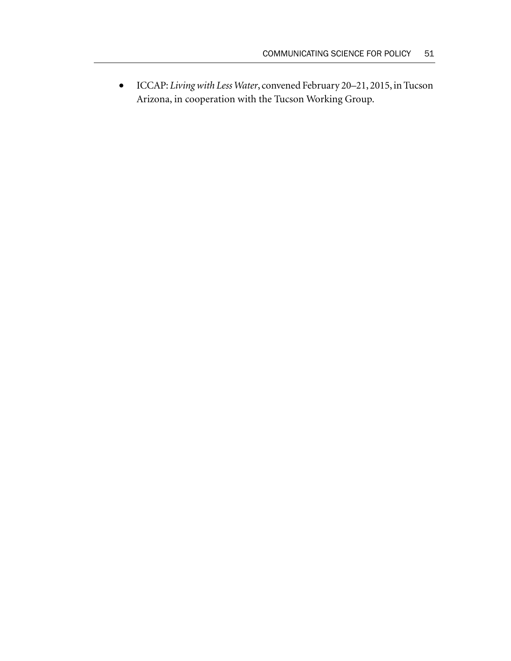• ICCAP: *Living with Less Water*, convened February 20–21, 2015, in Tucson Arizona, in cooperation with the Tucson Working Group.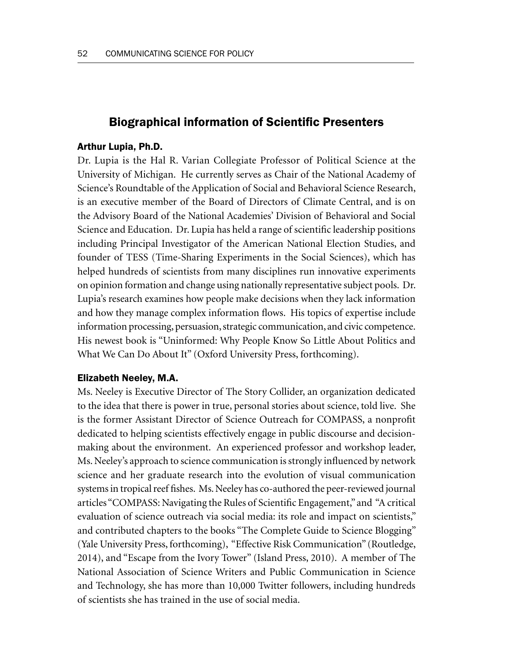# Biographical information of Scientifc Presenters

### Arthur Lupia, Ph.D.

Dr. Lupia is the Hal R. Varian Collegiate Professor of Political Science at the University of Michigan. He currently serves as Chair of the National Academy of Science's Roundtable of the Application of Social and Behavioral Science Research, is an executive member of the Board of Directors of Climate Central, and is on the Advisory Board of the National Academies' Division of Behavioral and Social Science and Education. Dr. Lupia has held a range of scientific leadership positions including Principal Investigator of the American National Election Studies, and founder of TESS (Time-Sharing Experiments in the Social Sciences), which has helped hundreds of scientists from many disciplines run innovative experiments on opinion formation and change using nationally representative subject pools. Dr. Lupia's research examines how people make decisions when they lack information and how they manage complex information flows. His topics of expertise include information processing, persuasion, strategic communication, and civic competence. His newest book is "Uninformed: Why People Know So Little About Politics and What We Can Do About It" (Oxford University Press, forthcoming).

#### Elizabeth Neeley, M.A.

Ms. Neeley is Executive Director of The Story Collider, an organization dedicated to the idea that there is power in true, personal stories about science, told live. She is the former Assistant Director of Science Outreach for COMPASS, a nonprofit dedicated to helping scientists effectively engage in public discourse and decisionmaking about the environment. An experienced professor and workshop leader, Ms. Neeley's approach to science communication is strongly influenced by network science and her graduate research into the evolution of visual communication systems in tropical reef fishes. Ms. Neeley has co-authored the peer-reviewed journal articles "COMPASS: Navigating the Rules of Scientific Engagement," and "A critical evaluation of science outreach via social media: its role and impact on scientists," and contributed chapters to the books "The Complete Guide to Science Blogging" (Yale University Press, forthcoming), "Effective Risk Communication" (Routledge, 2014), and "Escape from the Ivory Tower" (Island Press, 2010). A member of The National Association of Science Writers and Public Communication in Science and Technology, she has more than 10,000 Twitter followers, including hundreds of scientists she has trained in the use of social media.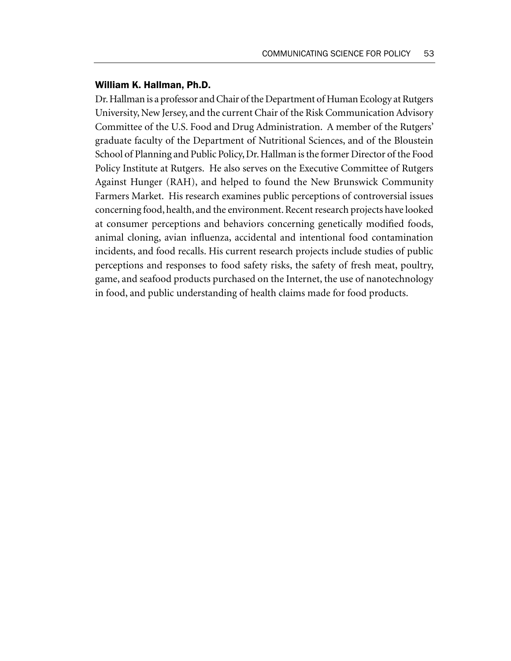#### William K. Hallman, Ph.D.

Dr. Hallman is a professor and Chair of the Department of Human Ecology at Rutgers University, New Jersey, and the current Chair of the Risk Communication Advisory Committee of the U.S. Food and Drug Administration. A member of the Rutgers' graduate faculty of the Department of Nutritional Sciences, and of the Bloustein School of Planning and Public Policy, Dr. Hallman is the former Director of the Food Policy Institute at Rutgers. He also serves on the Executive Committee of Rutgers Against Hunger (RAH), and helped to found the New Brunswick Community Farmers Market. His research examines public perceptions of controversial issues concerning food, health, and the environment. Recent research projects have looked at consumer perceptions and behaviors concerning genetically modified foods, animal cloning, avian influenza, accidental and intentional food contamination incidents, and food recalls. His current research projects include studies of public perceptions and responses to food safety risks, the safety of fresh meat, poultry, game, and seafood products purchased on the Internet, the use of nanotechnology in food, and public understanding of health claims made for food products.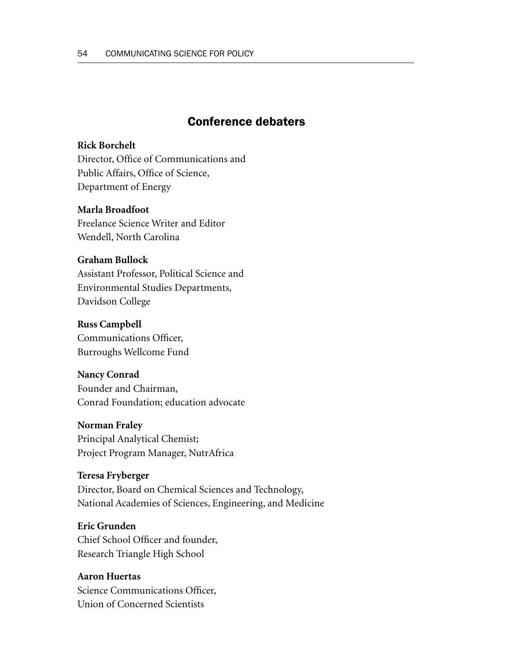# Conference debaters

### **Rick Borchelt**

Director, Office of Communications and Public Affairs, Office of Science, Department of Energy

### **Marla Broadfoot**

Freelance Science Writer and Editor Wendell, North Carolina

### **Graham Bullock**

Assistant Professor, Political Science and Environmental Studies Departments, Davidson College

#### **Russ Campbell**

Communications Officer, Burroughs Wellcome Fund

#### **Nancy Conrad**

Founder and Chairman, Conrad Foundation; education advocate

#### **Norman Fraley**

Principal Analytical Chemist; Project Program Manager, NutrAfrica

### **Teresa Fryberger**

Director, Board on Chemical Sciences and Technology, National Academies of Sciences, Engineering, and Medicine

#### **Eric Grunden**

Chief School Officer and founder, Research Triangle High School

# **Aaron Huertas** Science Communications Officer, Union of Concerned Scientists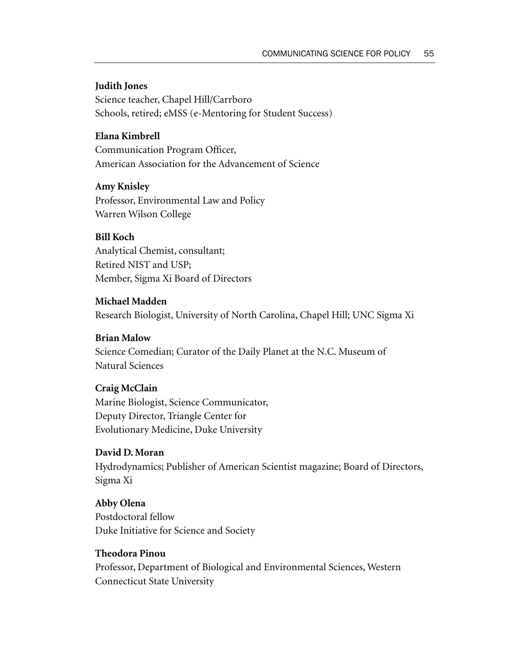### **Judith Jones**

Science teacher, Chapel Hill/Carrboro Schools, retired; eMSS (e-Mentoring for Student Success)

### **Elana Kimbrell**

Communication Program Officer, American Association for the Advancement of Science

#### **Amy Knisley**

Professor, Environmental Law and Policy Warren Wilson College

### **Bill Koch**

Analytical Chemist, consultant; Retired NIST and USP; Member, Sigma Xi Board of Directors

#### **Michael Madden**

Research Biologist, University of North Carolina, Chapel Hill; UNC Sigma Xi

#### **Brian Malow**

Science Comedian; Curator of the Daily Planet at the N.C. Museum of Natural Sciences

### **Craig McClain**

Marine Biologist, Science Communicator, Deputy Director, Triangle Center for Evolutionary Medicine, Duke University

### **David D. Moran**

Hydrodynamics; Publisher of American Scientist magazine; Board of Directors, Sigma Xi

### **Abby Olena**

Postdoctoral fellow Duke Initiative for Science and Society

### **Theodora Pinou**

Professor, Department of Biological and Environmental Sciences, Western Connecticut State University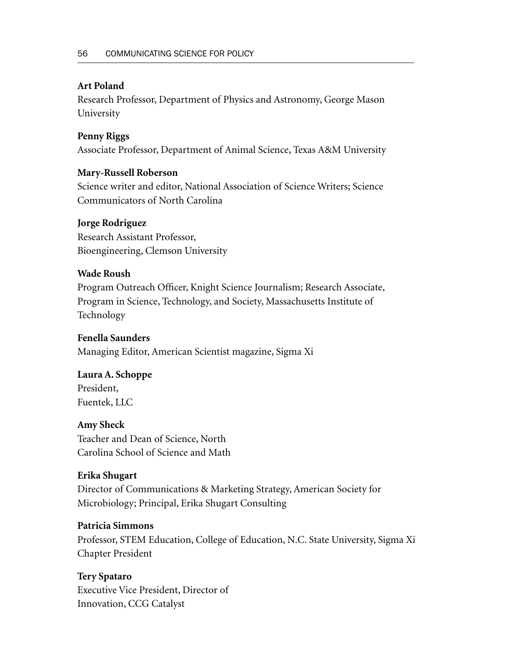## **Art Poland**

Research Professor, Department of Physics and Astronomy, George Mason University

# **Penny Riggs**

Associate Professor, Department of Animal Science, Texas A&M University

## **Mary-Russell Roberson**

Science writer and editor, National Association of Science Writers; Science Communicators of North Carolina

# **Jorge Rodriguez**

Research Assistant Professor, Bioengineering, Clemson University

# **Wade Roush**

Program Outreach Officer, Knight Science Journalism; Research Associate, Program in Science, Technology, and Society, Massachusetts Institute of Technology

## **Fenella Saunders**

Managing Editor, American Scientist magazine, Sigma Xi

# **Laura A. Schoppe**

President, Fuentek, LLC

## **Amy Sheck**

Teacher and Dean of Science, North Carolina School of Science and Math

## **Erika Shugart**

Director of Communications & Marketing Strategy, American Society for Microbiology; Principal, Erika Shugart Consulting

## **Patricia Simmons**

Professor, STEM Education, College of Education, N.C. State University, Sigma Xi Chapter President

# **Tery Spataro**

Executive Vice President, Director of Innovation, CCG Catalyst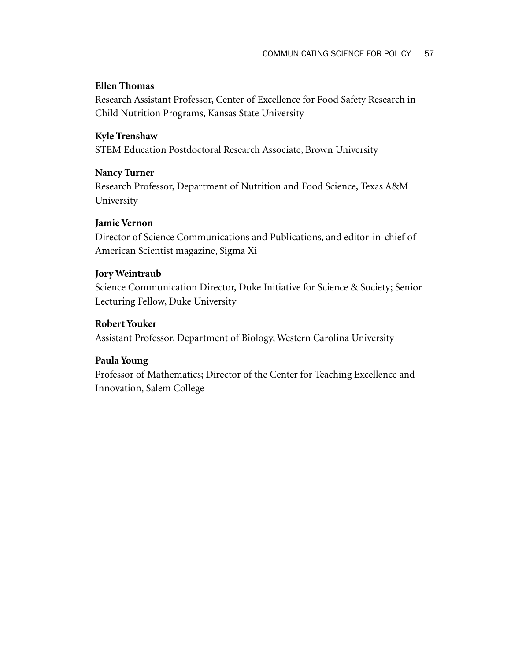### **Ellen Thomas**

Research Assistant Professor, Center of Excellence for Food Safety Research in Child Nutrition Programs, Kansas State University

### **Kyle Trenshaw**

STEM Education Postdoctoral Research Associate, Brown University

### **Nancy Turner**

Research Professor, Department of Nutrition and Food Science, Texas A&M University

### **Jamie Vernon**

Director of Science Communications and Publications, and editor-in-chief of American Scientist magazine, Sigma Xi

### **Jory Weintraub**

Science Communication Director, Duke Initiative for Science & Society; Senior Lecturing Fellow, Duke University

### **Robert Youker**

Assistant Professor, Department of Biology, Western Carolina University

## **Paula Young**

Professor of Mathematics; Director of the Center for Teaching Excellence and Innovation, Salem College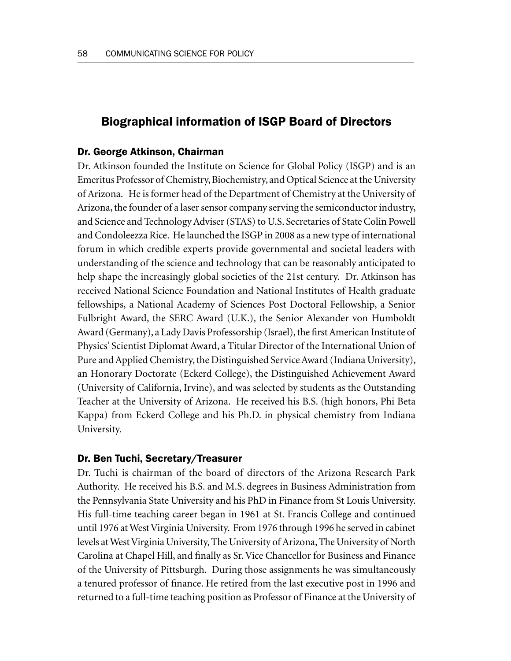# Biographical information of ISGP Board of Directors

#### Dr. George Atkinson, Chairman

Dr. Atkinson founded the Institute on Science for Global Policy (ISGP) and is an Emeritus Professor of Chemistry, Biochemistry, and Optical Science at the University of Arizona. He is former head of the Department of Chemistry at the University of Arizona, the founder of a laser sensor company serving the semiconductor industry, and Science and Technology Adviser (STAS) to U.S. Secretaries of State Colin Powell and Condoleezza Rice. He launched the ISGP in 2008 as a new type of international forum in which credible experts provide governmental and societal leaders with understanding of the science and technology that can be reasonably anticipated to help shape the increasingly global societies of the 21st century. Dr. Atkinson has received National Science Foundation and National Institutes of Health graduate fellowships, a National Academy of Sciences Post Doctoral Fellowship, a Senior Fulbright Award, the SERC Award (U.K.), the Senior Alexander von Humboldt Award (Germany), a Lady Davis Professorship (Israel), the first American Institute of Physics' Scientist Diplomat Award, a Titular Director of the International Union of Pure and Applied Chemistry, the Distinguished Service Award (Indiana University), an Honorary Doctorate (Eckerd College), the Distinguished Achievement Award (University of California, Irvine), and was selected by students as the Outstanding Teacher at the University of Arizona. He received his B.S. (high honors, Phi Beta Kappa) from Eckerd College and his Ph.D. in physical chemistry from Indiana University.

### Dr. Ben Tuchi, Secretary/Treasurer

Dr. Tuchi is chairman of the board of directors of the Arizona Research Park Authority. He received his B.S. and M.S. degrees in Business Administration from the Pennsylvania State University and his PhD in Finance from St Louis University. His full-time teaching career began in 1961 at St. Francis College and continued until 1976 at West Virginia University. From 1976 through 1996 he served in cabinet levels at West Virginia University, The University of Arizona, The University of North Carolina at Chapel Hill, and finally as Sr. Vice Chancellor for Business and Finance of the University of Pittsburgh. During those assignments he was simultaneously a tenured professor of finance. He retired from the last executive post in 1996 and returned to a full-time teaching position as Professor of Finance at the University of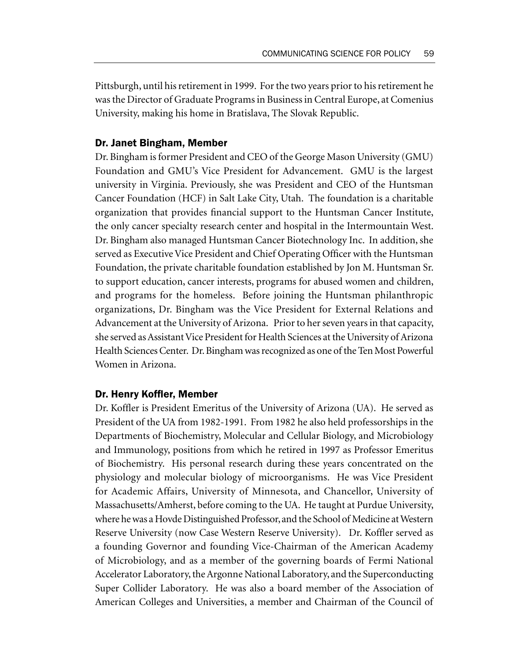Pittsburgh, until his retirement in 1999. For the two years prior to his retirement he was the Director of Graduate Programs in Business in Central Europe, at Comenius University, making his home in Bratislava, The Slovak Republic.

### Dr. Janet Bingham, Member

Dr. Bingham is former President and CEO of the George Mason University (GMU) Foundation and GMU's Vice President for Advancement. GMU is the largest university in Virginia. Previously, she was President and CEO of the Huntsman Cancer Foundation (HCF) in Salt Lake City, Utah. The foundation is a charitable organization that provides financial support to the Huntsman Cancer Institute, the only cancer specialty research center and hospital in the Intermountain West. Dr. Bingham also managed Huntsman Cancer Biotechnology Inc. In addition, she served as Executive Vice President and Chief Operating Officer with the Huntsman Foundation, the private charitable foundation established by Jon M. Huntsman Sr. to support education, cancer interests, programs for abused women and children, and programs for the homeless. Before joining the Huntsman philanthropic organizations, Dr. Bingham was the Vice President for External Relations and Advancement at the University of Arizona. Prior to her seven years in that capacity, she served as Assistant Vice President for Health Sciences at the University of Arizona Health Sciences Center. Dr. Bingham was recognized as one of the Ten Most Powerful Women in Arizona.

#### Dr. Henry Koffler, Member

Dr. Koffler is President Emeritus of the University of Arizona (UA). He served as President of the UA from 1982-1991. From 1982 he also held professorships in the Departments of Biochemistry, Molecular and Cellular Biology, and Microbiology and Immunology, positions from which he retired in 1997 as Professor Emeritus of Biochemistry. His personal research during these years concentrated on the physiology and molecular biology of microorganisms. He was Vice President for Academic Affairs, University of Minnesota, and Chancellor, University of Massachusetts/Amherst, before coming to the UA. He taught at Purdue University, where he was a Hovde Distinguished Professor, and the School of Medicine at Western Reserve University (now Case Western Reserve University). Dr. Koffler served as a founding Governor and founding Vice-Chairman of the American Academy of Microbiology, and as a member of the governing boards of Fermi National Accelerator Laboratory, the Argonne National Laboratory, and the Superconducting Super Collider Laboratory. He was also a board member of the Association of American Colleges and Universities, a member and Chairman of the Council of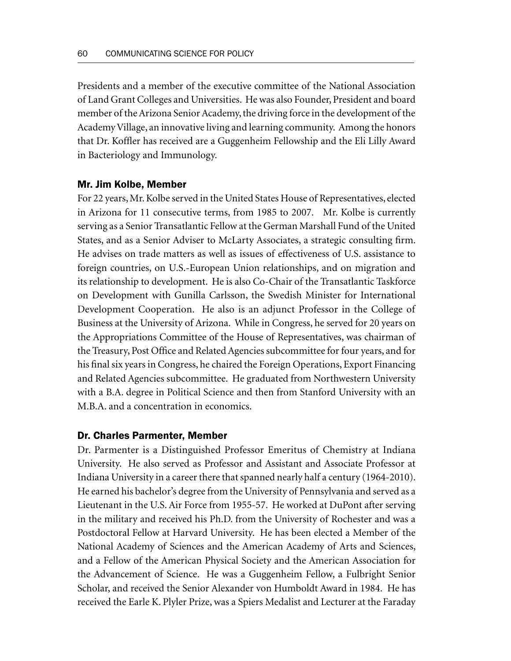Presidents and a member of the executive committee of the National Association of Land Grant Colleges and Universities. He was also Founder, President and board member of the Arizona Senior Academy, the driving force in the development of the Academy Village, an innovative living and learning community. Among the honors that Dr. Koffler has received are a Guggenheim Fellowship and the Eli Lilly Award in Bacteriology and Immunology.

### Mr. Jim Kolbe, Member

For 22 years, Mr. Kolbe served in the United States House of Representatives, elected in Arizona for 11 consecutive terms, from 1985 to 2007. Mr. Kolbe is currently serving as a Senior Transatlantic Fellow at the German Marshall Fund of the United States, and as a Senior Adviser to McLarty Associates, a strategic consulting firm. He advises on trade matters as well as issues of effectiveness of U.S. assistance to foreign countries, on U.S.-European Union relationships, and on migration and its relationship to development. He is also Co-Chair of the Transatlantic Taskforce on Development with Gunilla Carlsson, the Swedish Minister for International Development Cooperation. He also is an adjunct Professor in the College of Business at the University of Arizona. While in Congress, he served for 20 years on the Appropriations Committee of the House of Representatives, was chairman of the Treasury, Post Office and Related Agencies subcommittee for four years, and for his final six years in Congress, he chaired the Foreign Operations, Export Financing and Related Agencies subcommittee. He graduated from Northwestern University with a B.A. degree in Political Science and then from Stanford University with an M.B.A. and a concentration in economics.

#### Dr. Charles Parmenter, Member

Dr. Parmenter is a Distinguished Professor Emeritus of Chemistry at Indiana University. He also served as Professor and Assistant and Associate Professor at Indiana University in a career there that spanned nearly half a century (1964-2010). He earned his bachelor's degree from the University of Pennsylvania and served as a Lieutenant in the U.S. Air Force from 1955-57. He worked at DuPont after serving in the military and received his Ph.D. from the University of Rochester and was a Postdoctoral Fellow at Harvard University. He has been elected a Member of the National Academy of Sciences and the American Academy of Arts and Sciences, and a Fellow of the American Physical Society and the American Association for the Advancement of Science. He was a Guggenheim Fellow, a Fulbright Senior Scholar, and received the Senior Alexander von Humboldt Award in 1984. He has received the Earle K. Plyler Prize, was a Spiers Medalist and Lecturer at the Faraday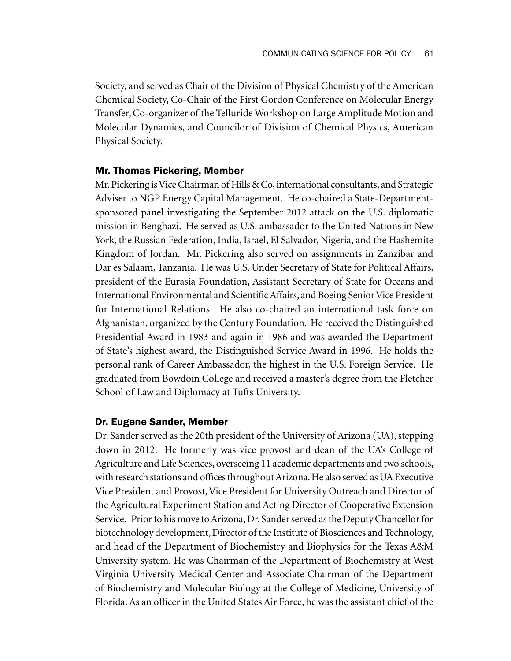Society, and served as Chair of the Division of Physical Chemistry of the American Chemical Society, Co-Chair of the First Gordon Conference on Molecular Energy Transfer, Co-organizer of the Telluride Workshop on Large Amplitude Motion and Molecular Dynamics, and Councilor of Division of Chemical Physics, American Physical Society.

### Mr. Thomas Pickering, Member

Mr. Pickering is Vice Chairman of Hills & Co, international consultants, and Strategic Adviser to NGP Energy Capital Management. He co-chaired a State-Departmentsponsored panel investigating the September 2012 attack on the U.S. diplomatic mission in Benghazi. He served as U.S. ambassador to the United Nations in New York, the Russian Federation, India, Israel, El Salvador, Nigeria, and the Hashemite Kingdom of Jordan. Mr. Pickering also served on assignments in Zanzibar and Dar es Salaam, Tanzania. He was U.S. Under Secretary of State for Political Affairs, president of the Eurasia Foundation, Assistant Secretary of State for Oceans and International Environmental and Scientific Affairs, and Boeing Senior Vice President for International Relations. He also co-chaired an international task force on Afghanistan, organized by the Century Foundation. He received the Distinguished Presidential Award in 1983 and again in 1986 and was awarded the Department of State's highest award, the Distinguished Service Award in 1996. He holds the personal rank of Career Ambassador, the highest in the U.S. Foreign Service. He graduated from Bowdoin College and received a master's degree from the Fletcher School of Law and Diplomacy at Tufts University.

### Dr. Eugene Sander, Member

Dr. Sander served as the 20th president of the University of Arizona (UA), stepping down in 2012. He formerly was vice provost and dean of the UA's College of Agriculture and Life Sciences, overseeing 11 academic departments and two schools, with research stations and offices throughout Arizona. He also served as UA Executive Vice President and Provost, Vice President for University Outreach and Director of the Agricultural Experiment Station and Acting Director of Cooperative Extension Service. Prior to his move to Arizona, Dr. Sander served as the Deputy Chancellor for biotechnology development, Director of the Institute of Biosciences and Technology, and head of the Department of Biochemistry and Biophysics for the Texas A&M University system. He was Chairman of the Department of Biochemistry at West Virginia University Medical Center and Associate Chairman of the Department of Biochemistry and Molecular Biology at the College of Medicine, University of Florida. As an officer in the United States Air Force, he was the assistant chief of the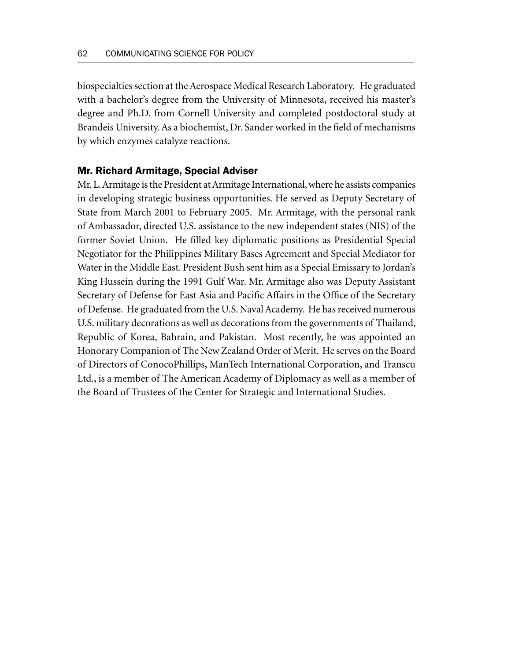biospecialties section at the Aerospace Medical Research Laboratory. He graduated with a bachelor's degree from the University of Minnesota, received his master's degree and Ph.D. from Cornell University and completed postdoctoral study at Brandeis University. As a biochemist, Dr. Sander worked in the field of mechanisms by which enzymes catalyze reactions.

### Mr. Richard Armitage, Special Adviser

Mr. L. Armitage is the President at Armitage International, where he assists companies in developing strategic business opportunities. He served as Deputy Secretary of State from March 2001 to February 2005. Mr. Armitage, with the personal rank of Ambassador, directed U.S. assistance to the new independent states (NIS) of the former Soviet Union. He filled key diplomatic positions as Presidential Special Negotiator for the Philippines Military Bases Agreement and Special Mediator for Water in the Middle East. President Bush sent him as a Special Emissary to Jordan's King Hussein during the 1991 Gulf War. Mr. Armitage also was Deputy Assistant Secretary of Defense for East Asia and Pacific Affairs in the Office of the Secretary of Defense. He graduated from the U.S. Naval Academy. He has received numerous U.S. military decorations as well as decorations from the governments of Thailand, Republic of Korea, Bahrain, and Pakistan. Most recently, he was appointed an Honorary Companion of The New Zealand Order of Merit. He serves on the Board of Directors of ConocoPhillips, ManTech International Corporation, and Transcu Ltd., is a member of The American Academy of Diplomacy as well as a member of the Board of Trustees of the Center for Strategic and International Studies.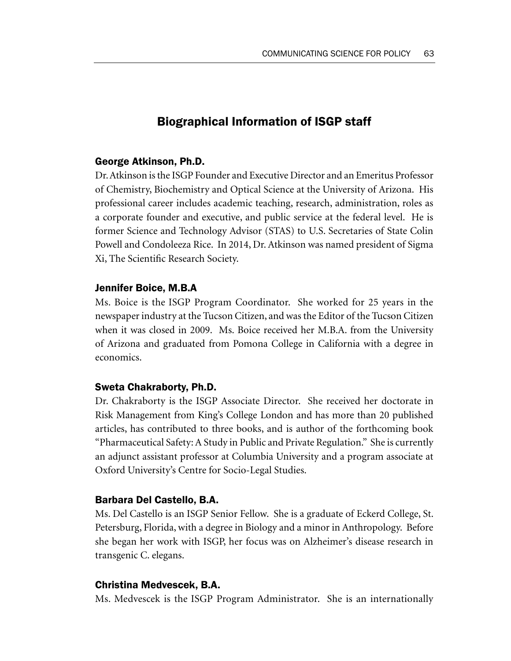# Biographical Information of ISGP staff

### George Atkinson, Ph.D.

Dr. Atkinson is the ISGP Founder and Executive Director and an Emeritus Professor of Chemistry, Biochemistry and Optical Science at the University of Arizona. His professional career includes academic teaching, research, administration, roles as a corporate founder and executive, and public service at the federal level. He is former Science and Technology Advisor (STAS) to U.S. Secretaries of State Colin Powell and Condoleeza Rice. In 2014, Dr. Atkinson was named president of Sigma Xi, The Scientific Research Society.

### Jennifer Boice, M.B.A

Ms. Boice is the ISGP Program Coordinator. She worked for 25 years in the newspaper industry at the Tucson Citizen, and was the Editor of the Tucson Citizen when it was closed in 2009. Ms. Boice received her M.B.A. from the University of Arizona and graduated from Pomona College in California with a degree in economics.

#### Sweta Chakraborty, Ph.D.

Dr. Chakraborty is the ISGP Associate Director. She received her doctorate in Risk Management from King's College London and has more than 20 published articles, has contributed to three books, and is author of the forthcoming book "Pharmaceutical Safety: A Study in Public and Private Regulation." She is currently an adjunct assistant professor at Columbia University and a program associate at Oxford University's Centre for Socio-Legal Studies.

#### Barbara Del Castello, B.A.

Ms. Del Castello is an ISGP Senior Fellow. She is a graduate of Eckerd College, St. Petersburg, Florida, with a degree in Biology and a minor in Anthropology. Before she began her work with ISGP, her focus was on Alzheimer's disease research in transgenic C. elegans.

### Christina Medvescek, B.A.

Ms. Medvescek is the ISGP Program Administrator. She is an internationally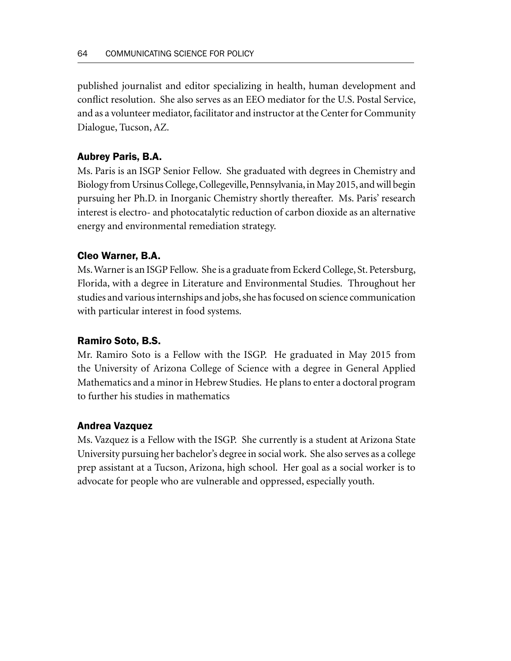published journalist and editor specializing in health, human development and conflict resolution. She also serves as an EEO mediator for the U.S. Postal Service, and as a volunteer mediator, facilitator and instructor at the Center for Community Dialogue, Tucson, AZ.

# Aubrey Paris, B.A.

Ms. Paris is an ISGP Senior Fellow. She graduated with degrees in Chemistry and Biology from Ursinus College, Collegeville, Pennsylvania, in May 2015, and will begin pursuing her Ph.D. in Inorganic Chemistry shortly thereafter. Ms. Paris' research interest is electro- and photocatalytic reduction of carbon dioxide as an alternative energy and environmental remediation strategy.

## Cleo Warner, B.A.

Ms. Warner is an ISGP Fellow. She is a graduate from Eckerd College, St. Petersburg, Florida, with a degree in Literature and Environmental Studies. Throughout her studies and various internships and jobs, she has focused on science communication with particular interest in food systems.

## Ramiro Soto, B.S.

Mr. Ramiro Soto is a Fellow with the ISGP. He graduated in May 2015 from the University of Arizona College of Science with a degree in General Applied Mathematics and a minor in Hebrew Studies. He plans to enter a doctoral program to further his studies in mathematics

## Andrea Vazquez

Ms. Vazquez is a Fellow with the ISGP. She currently is a student at Arizona State University pursuing her bachelor's degree in social work. She also serves as a college prep assistant at a Tucson, Arizona, high school. Her goal as a social worker is to advocate for people who are vulnerable and oppressed, especially youth.